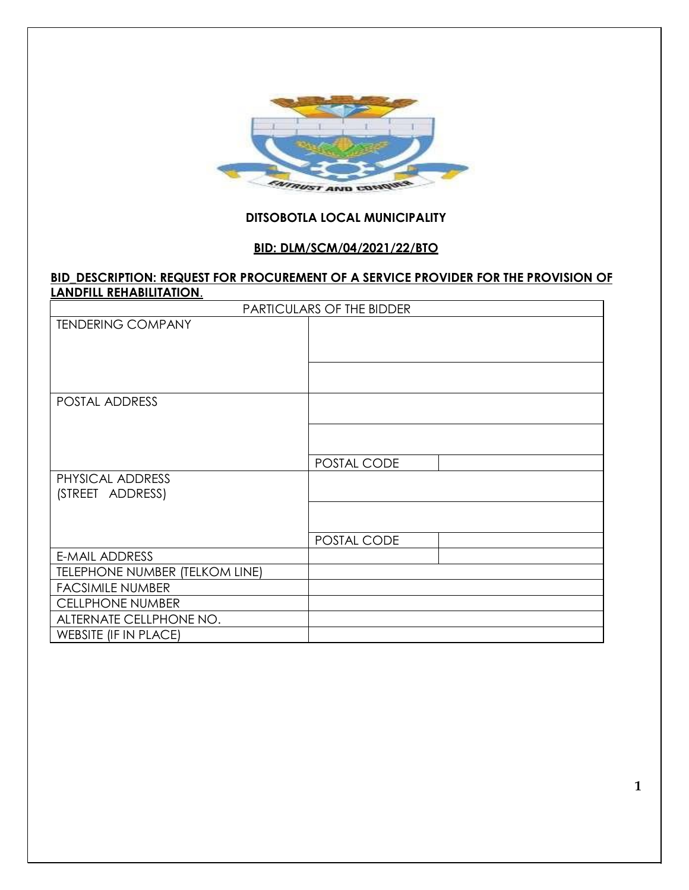

## **DITSOBOTLA LOCAL MUNICIPALITY**

## **BID: DLM/SCM/04/2021/22/BTO**

#### **BID\_DESCRIPTION: REQUEST FOR PROCUREMENT OF A SERVICE PROVIDER FOR THE PROVISION OF LANDFILL REHABILITATION**.

|                                | <b>PARTICULARS OF THE BIDDER</b> |
|--------------------------------|----------------------------------|
| <b>TENDERING COMPANY</b>       |                                  |
|                                |                                  |
|                                |                                  |
|                                |                                  |
| POSTAL ADDRESS                 |                                  |
|                                |                                  |
|                                |                                  |
|                                |                                  |
|                                | POSTAL CODE                      |
| PHYSICAL ADDRESS               |                                  |
| (STREET ADDRESS)               |                                  |
|                                |                                  |
|                                |                                  |
|                                | POSTAL CODE                      |
| E-MAIL ADDRESS                 |                                  |
| TELEPHONE NUMBER (TELKOM LINE) |                                  |
| <b>FACSIMILE NUMBER</b>        |                                  |
| <b>CELLPHONE NUMBER</b>        |                                  |
| ALTERNATE CELLPHONE NO.        |                                  |
| <b>WEBSITE (IF IN PLACE)</b>   |                                  |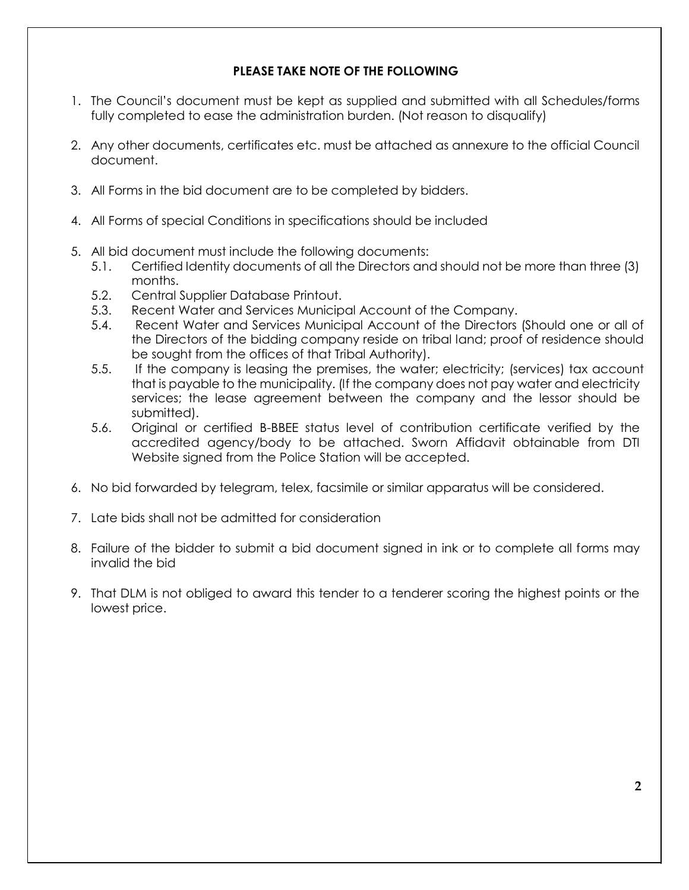## **PLEASE TAKE NOTE OF THE FOLLOWING**

- 1. The Council's document must be kept as supplied and submitted with all Schedules/forms fully completed to ease the administration burden. (Not reason to disqualify)
- 2. Any other documents, certificates etc. must be attached as annexure to the official Council document.
- 3. All Forms in the bid document are to be completed by bidders.
- 4. All Forms of special Conditions in specifications should be included
- 5. All bid document must include the following documents:
	- 5.1. Certified Identity documents of all the Directors and should not be more than three (3) months.
	- 5.2. Central Supplier Database Printout.
	- 5.3. Recent Water and Services Municipal Account of the Company.
	- 5.4. Recent Water and Services Municipal Account of the Directors (Should one or all of the Directors of the bidding company reside on tribal land; proof of residence should be sought from the offices of that Tribal Authority).
	- 5.5. If the company is leasing the premises, the water; electricity; (services) tax account that is payable to the municipality. (If the company does not pay water and electricity services; the lease agreement between the company and the lessor should be submitted).
	- 5.6. Original or certified B-BBEE status level of contribution certificate verified by the accredited agency/body to be attached. Sworn Affidavit obtainable from DTI Website signed from the Police Station will be accepted.
- 6. No bid forwarded by telegram, telex, facsimile or similar apparatus will be considered.
- 7. Late bids shall not be admitted for consideration
- 8. Failure of the bidder to submit a bid document signed in ink or to complete all forms may invalid the bid
- 9. That DLM is not obliged to award this tender to a tenderer scoring the highest points or the lowest price.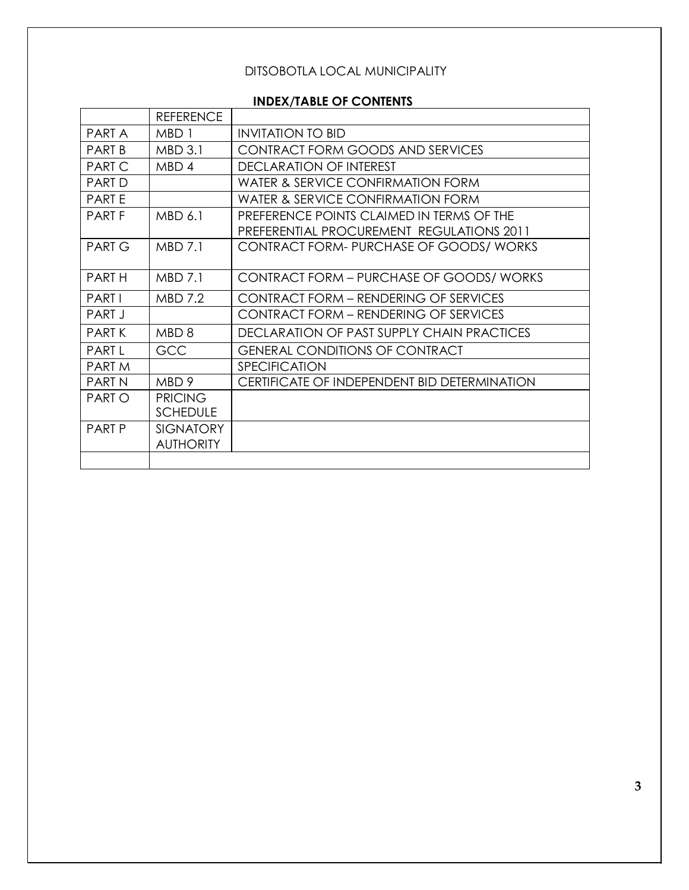# DITSOBOTLA LOCAL MUNICIPALITY

# **INDEX/TABLE OF CONTENTS**

|               | <b>REFERENCE</b> |                                                 |
|---------------|------------------|-------------------------------------------------|
| PART A        | MBD <sub>1</sub> | <b>INVITATION TO BID</b>                        |
| <b>PART B</b> | <b>MBD 3.1</b>   | <b>CONTRACT FORM GOODS AND SERVICES</b>         |
| <b>PART C</b> | MBD <sub>4</sub> | <b>DECLARATION OF INTEREST</b>                  |
| <b>PART D</b> |                  | WATER & SERVICE CONFIRMATION FORM               |
| <b>PARTE</b>  |                  | <b>WATER &amp; SERVICE CONFIRMATION FORM</b>    |
| <b>PARTF</b>  | MBD 6.1          | PREFERENCE POINTS CLAIMED IN TERMS OF THE       |
|               |                  | PREFERENTIAL PROCUREMENT REGULATIONS 2011       |
| <b>PART G</b> | <b>MBD 7.1</b>   | CONTRACT FORM- PURCHASE OF GOODS/ WORKS         |
| <b>PARTH</b>  | <b>MBD 7.1</b>   | <b>CONTRACT FORM - PURCHASE OF GOODS/ WORKS</b> |
| <b>PARTI</b>  | <b>MBD 7.2</b>   | <b>CONTRACT FORM - RENDERING OF SERVICES</b>    |
| PART J        |                  | <b>CONTRACT FORM - RENDERING OF SERVICES</b>    |
| <b>PARTK</b>  | MBD <sub>8</sub> | DECLARATION OF PAST SUPPLY CHAIN PRACTICES      |
| <b>PARTL</b>  | <b>GCC</b>       | <b>GENERAL CONDITIONS OF CONTRACT</b>           |
| <b>PARTM</b>  |                  | SPECIFICATION                                   |
| <b>PARTN</b>  | MBD 9            | CERTIFICATE OF INDEPENDENT BID DETERMINATION    |
| <b>PARTO</b>  | <b>PRICING</b>   |                                                 |
|               | <b>SCHEDULE</b>  |                                                 |
| <b>PART P</b> | <b>SIGNATORY</b> |                                                 |
|               | <b>AUTHORITY</b> |                                                 |
|               |                  |                                                 |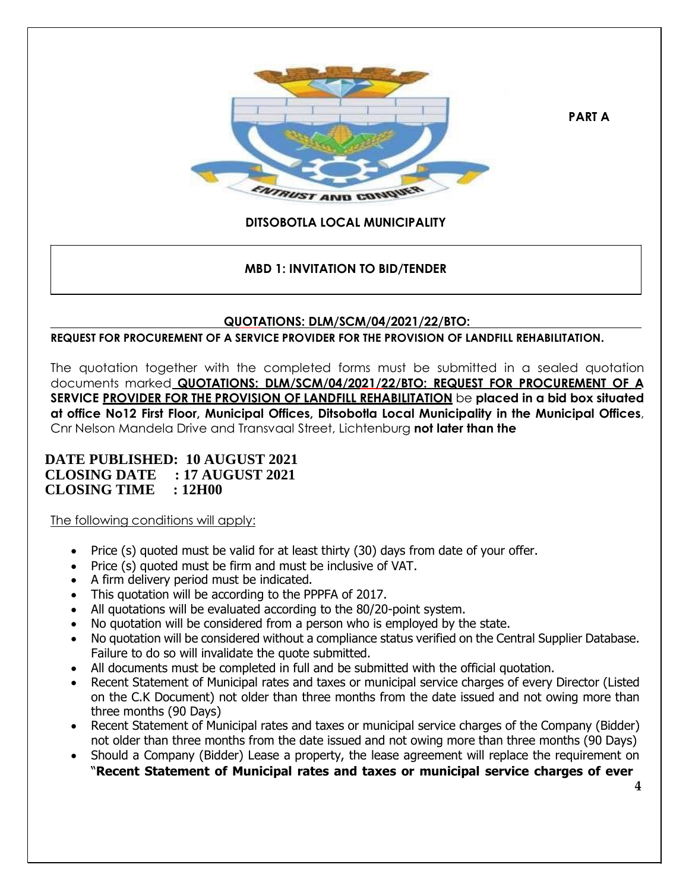

**PART A**

# **DITSOBOTLA LOCAL MUNICIPALITY**

## **MBD 1: INVITATION TO BID/TENDER**

## **QUOTATIONS: DLM/SCM/04/2021/22/BTO:**

**REQUEST FOR PROCUREMENT OF A SERVICE PROVIDER FOR THE PROVISION OF LANDFILL REHABILITATION.**

The quotation together with the completed forms must be submitted in a sealed quotation documents marked **QUOTATIONS: DLM/SCM/04/2021/22/BTO: REQUEST FOR PROCUREMENT OF A SERVICE PROVIDER FOR THE PROVISION OF LANDFILL REHABILITATION** be **placed in a bid box situated at office No12 First Floor, Municipal Offices, Ditsobotla Local Municipality in the Municipal Offices**, Cnr Nelson Mandela Drive and Transvaal Street, Lichtenburg **not later than the**

## **DATE PUBLISHED: 10 AUGUST 2021 CLOSING DATE : 17 AUGUST 2021 CLOSING TIME : 12H00**

The following conditions will apply:

- Price (s) quoted must be valid for at least thirty (30) days from date of your offer.
- Price (s) quoted must be firm and must be inclusive of VAT.
- A firm delivery period must be indicated.
- This quotation will be according to the PPPFA of 2017.
- All quotations will be evaluated according to the 80/20-point system.
- No quotation will be considered from a person who is employed by the state.
- No quotation will be considered without a compliance status verified on the Central Supplier Database. Failure to do so will invalidate the quote submitted.
- All documents must be completed in full and be submitted with the official quotation.
- Recent Statement of Municipal rates and taxes or municipal service charges of every Director (Listed on the C.K Document) not older than three months from the date issued and not owing more than three months (90 Days)
- Recent Statement of Municipal rates and taxes or municipal service charges of the Company (Bidder) not older than three months from the date issued and not owing more than three months (90 Days)
- Should a Company (Bidder) Lease a property, the lease agreement will replace the requirement on "**Recent Statement of Municipal rates and taxes or municipal service charges of ever**

**4**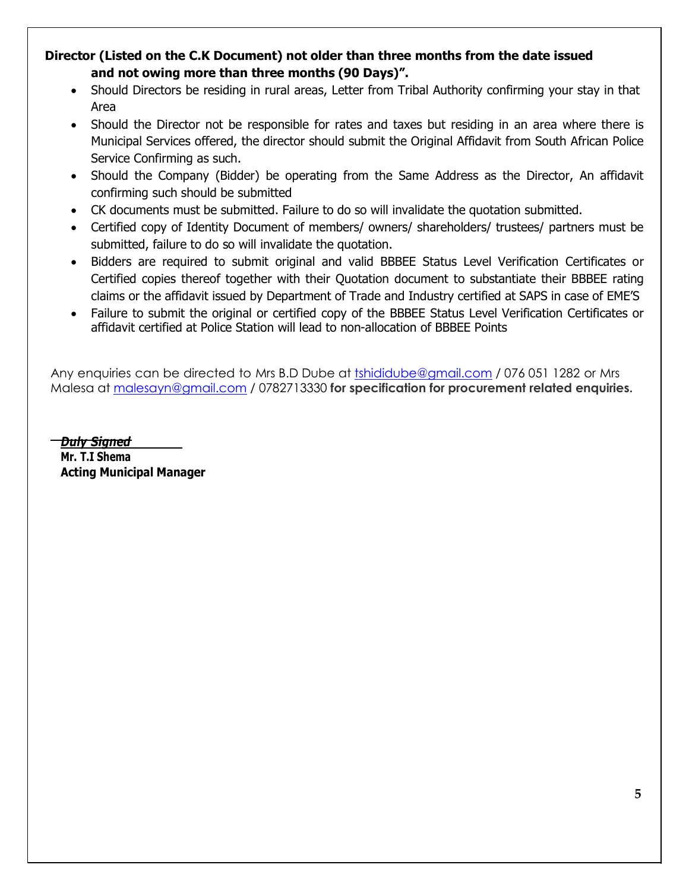# **Director (Listed on the C.K Document) not older than three months from the date issued and not owing more than three months (90 Days)".**

- Should Directors be residing in rural areas, Letter from Tribal Authority confirming your stay in that Area
- Should the Director not be responsible for rates and taxes but residing in an area where there is Municipal Services offered, the director should submit the Original Affidavit from South African Police Service Confirming as such.
- Should the Company (Bidder) be operating from the Same Address as the Director, An affidavit confirming such should be submitted
- CK documents must be submitted. Failure to do so will invalidate the quotation submitted.
- Certified copy of Identity Document of members/ owners/ shareholders/ trustees/ partners must be submitted, failure to do so will invalidate the quotation.
- Bidders are required to submit original and valid BBBEE Status Level Verification Certificates or Certified copies thereof together with their Quotation document to substantiate their BBBEE rating claims or the affidavit issued by Department of Trade and Industry certified at SAPS in case of EME'S
- Failure to submit the original or certified copy of the BBBEE Status Level Verification Certificates or affidavit certified at Police Station will lead to non-allocation of BBBEE Points

Any enquiries can be directed to Mrs B.D Dube at tshididube@amail.com / 076 051 1282 or Mrs Malesa at [malesayn@gmail.com](mailto:malesayn@gmail.com) / 0782713330 **for specification for procurement related enquiries.**

*Duly Signed* **Mr. T.I Shema Acting Municipal Manager**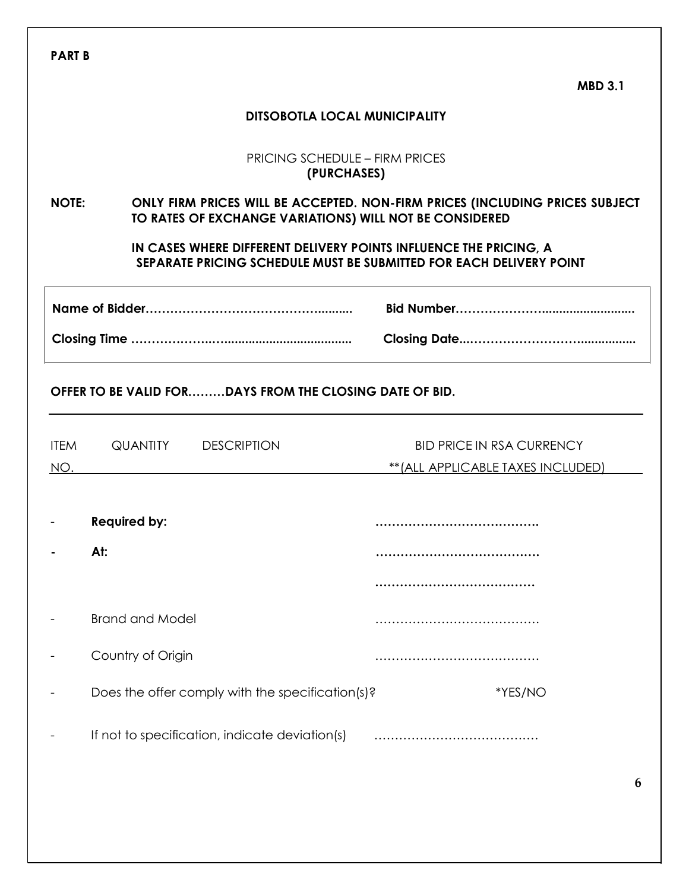|                    |                                                                                                                                         | <b>MBD 3.1</b>                                                                                                                           |
|--------------------|-----------------------------------------------------------------------------------------------------------------------------------------|------------------------------------------------------------------------------------------------------------------------------------------|
|                    |                                                                                                                                         | <b>DITSOBOTLA LOCAL MUNICIPALITY</b>                                                                                                     |
|                    |                                                                                                                                         | <b>PRICING SCHEDULE - FIRM PRICES</b><br>(PURCHASES)                                                                                     |
| <b>NOTE:</b>       | ONLY FIRM PRICES WILL BE ACCEPTED. NON-FIRM PRICES (INCLUDING PRICES SUBJECT<br>TO RATES OF EXCHANGE VARIATIONS) WILL NOT BE CONSIDERED |                                                                                                                                          |
|                    |                                                                                                                                         | IN CASES WHERE DIFFERENT DELIVERY POINTS INFLUENCE THE PRICING, A<br>SEPARATE PRICING SCHEDULE MUST BE SUBMITTED FOR EACH DELIVERY POINT |
|                    |                                                                                                                                         |                                                                                                                                          |
|                    |                                                                                                                                         |                                                                                                                                          |
|                    | OFFER TO BE VALID FORDAYS FROM THE CLOSING DATE OF BID.<br><b>QUANTITY DESCRIPTION</b>                                                  | <b>BID PRICE IN RSA CURRENCY</b>                                                                                                         |
| <b>ITEM</b><br>NO. |                                                                                                                                         | ** (ALL APPLICABLE TAXES INCLUDED)                                                                                                       |
|                    |                                                                                                                                         |                                                                                                                                          |
|                    | <b>Required by:</b>                                                                                                                     |                                                                                                                                          |
|                    | At:                                                                                                                                     | <br>                                                                                                                                     |
|                    | <b>Brand and Model</b>                                                                                                                  |                                                                                                                                          |
|                    | Country of Origin                                                                                                                       |                                                                                                                                          |
|                    | Does the offer comply with the specification(s)?                                                                                        | *YES/NO                                                                                                                                  |
|                    | If not to specification, indicate deviation(s)                                                                                          |                                                                                                                                          |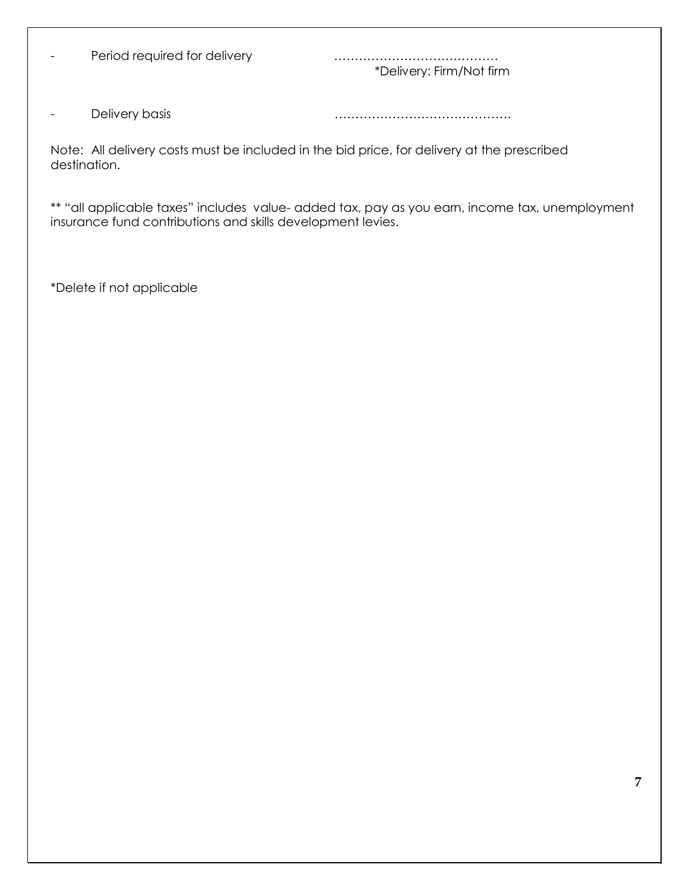- Period required for delivery **manual contracts** and response response Period required for delivery

\*Delivery: Firm/Not firm

- Delivery basis matter and matter and matter that the contract of the contract of the contract of the contract of the contract of the contract of the contract of the contract of the contract of the contract of the contrac

Note: All delivery costs must be included in the bid price, for delivery at the prescribed destination.

\*\* "all applicable taxes" includes value- added tax, pay as you earn, income tax, unemployment insurance fund contributions and skills development levies.

\*Delete if not applicable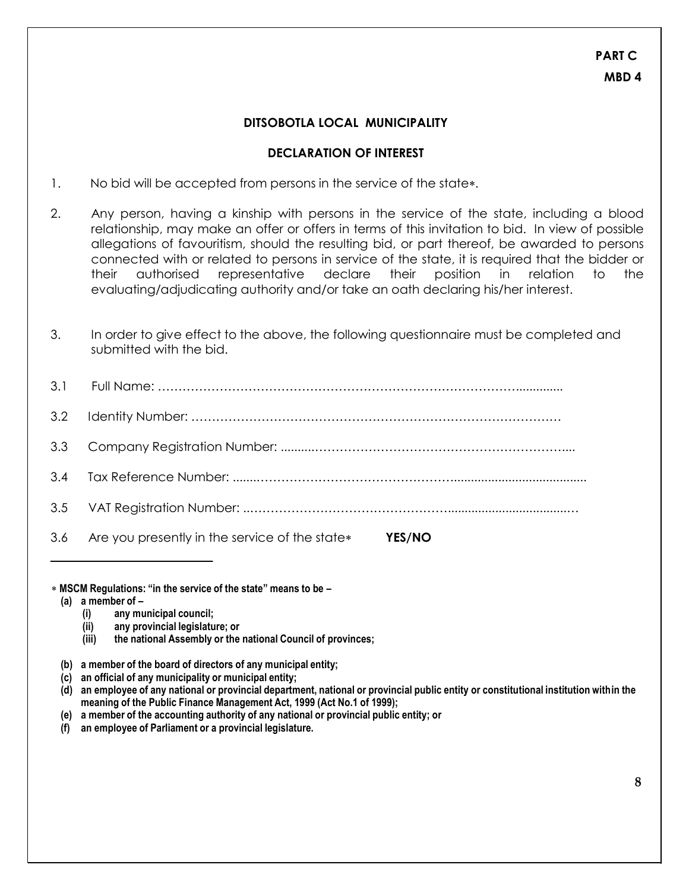## **DITSOBOTLA LOCAL MUNICIPALITY**

#### **DECLARATION OF INTEREST**

- 1. No bid will be accepted from persons in the service of the state.
- 2. Any person, having a kinship with persons in the service of the state, including a blood relationship, may make an offer or offers in terms of this invitation to bid. In view of possible allegations of favouritism, should the resulting bid, or part thereof, be awarded to persons connected with or related to persons in service of the state, it is required that the bidder or their authorised representative declare their position in relation to the evaluating/adjudicating authority and/or take an oath declaring his/her interest.
- 3. In order to give effect to the above, the following questionnaire must be completed and submitted with the bid.

| 3.6 Are you presently in the service of the state*<br>YES/NO |
|--------------------------------------------------------------|

#### **MSCM Regulations: "in the service of the state" means to be –**

- **(a) a member of –**
	- **(i) any municipal council;**
	- **(ii) any provincial legislature; or**
	- **(iii) the national Assembly or the national Council of provinces;**
- **(b) a member of the board of directors of any municipal entity;**
- **(c) an official of any municipality or municipal entity;**
- (d) an employee of any national or provincial department, national or provincial public entity or constitutional institution within the **meaning of the Public Finance Management Act, 1999 (Act No.1 of 1999);**
- **(e) a member of the accounting authority of any national or provincial public entity; or**
- **(f) an employee of Parliament or a provincial legislature.**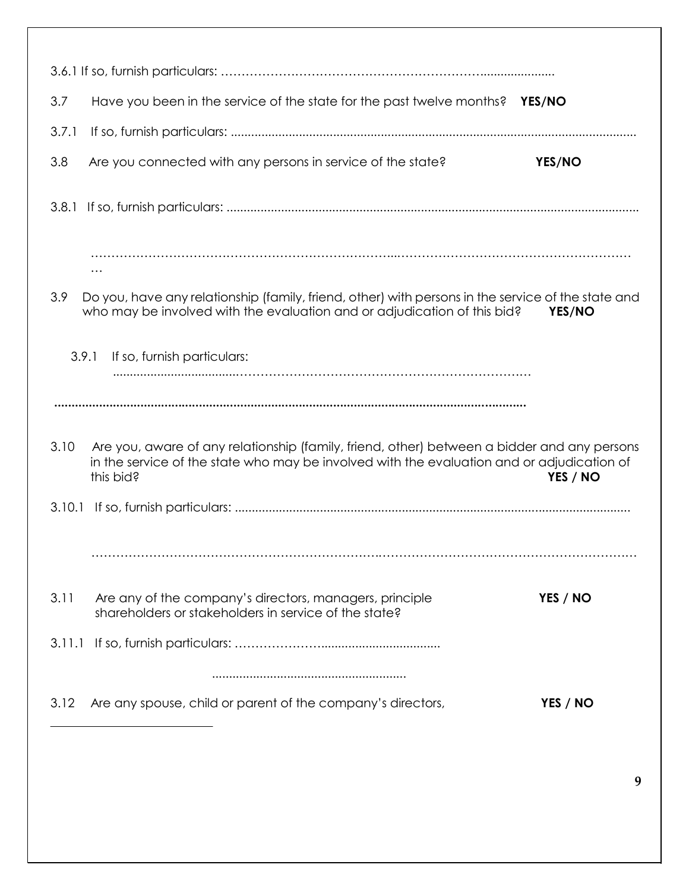| 3.7<br>Have you been in the service of the state for the past twelve months? YES/NO                                                                                                                            |          |
|----------------------------------------------------------------------------------------------------------------------------------------------------------------------------------------------------------------|----------|
| 3.7.1                                                                                                                                                                                                          |          |
| 3.8<br>Are you connected with any persons in service of the state?                                                                                                                                             | YES/NO   |
| 3.8.1                                                                                                                                                                                                          |          |
|                                                                                                                                                                                                                |          |
| 3.9<br>Do you, have any relationship (family, friend, other) with persons in the service of the state and<br>who may be involved with the evaluation and or adjudication of this bid?                          | YES/NO   |
| 3.9.1<br>If so, furnish particulars:                                                                                                                                                                           |          |
|                                                                                                                                                                                                                |          |
| 3.10<br>Are you, aware of any relationship (family, friend, other) between a bidder and any persons<br>in the service of the state who may be involved with the evaluation and or adjudication of<br>this bid? | YES / NO |
| 3.10.1                                                                                                                                                                                                         |          |
|                                                                                                                                                                                                                |          |
| 3.11<br>Are any of the company's directors, managers, principle<br>shareholders or stakeholders in service of the state?                                                                                       | YES / NO |
|                                                                                                                                                                                                                |          |
|                                                                                                                                                                                                                |          |
| Are any spouse, child or parent of the company's directors,<br>3.12                                                                                                                                            | YES / NO |
|                                                                                                                                                                                                                |          |

**9**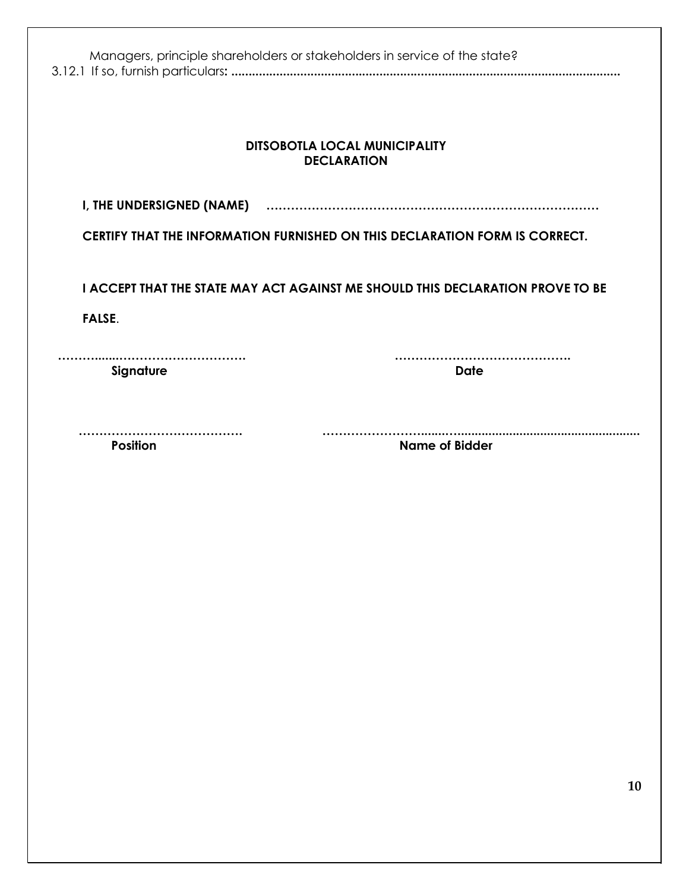| Managers, principle shareholders or stakeholders in service of the state?                       |                                                                             |  |  |
|-------------------------------------------------------------------------------------------------|-----------------------------------------------------------------------------|--|--|
| <b>DITSOBOTLA LOCAL MUNICIPALITY</b><br><b>DECLARATION</b>                                      |                                                                             |  |  |
|                                                                                                 |                                                                             |  |  |
|                                                                                                 | CERTIFY THAT THE INFORMATION FURNISHED ON THIS DECLARATION FORM IS CORRECT. |  |  |
| I ACCEPT THAT THE STATE MAY ACT AGAINST ME SHOULD THIS DECLARATION PROVE TO BE<br><b>FALSE.</b> |                                                                             |  |  |
| .<br>Signature                                                                                  | <b>Date</b>                                                                 |  |  |
| <b>Position</b>                                                                                 | <b>Name of Bidder</b>                                                       |  |  |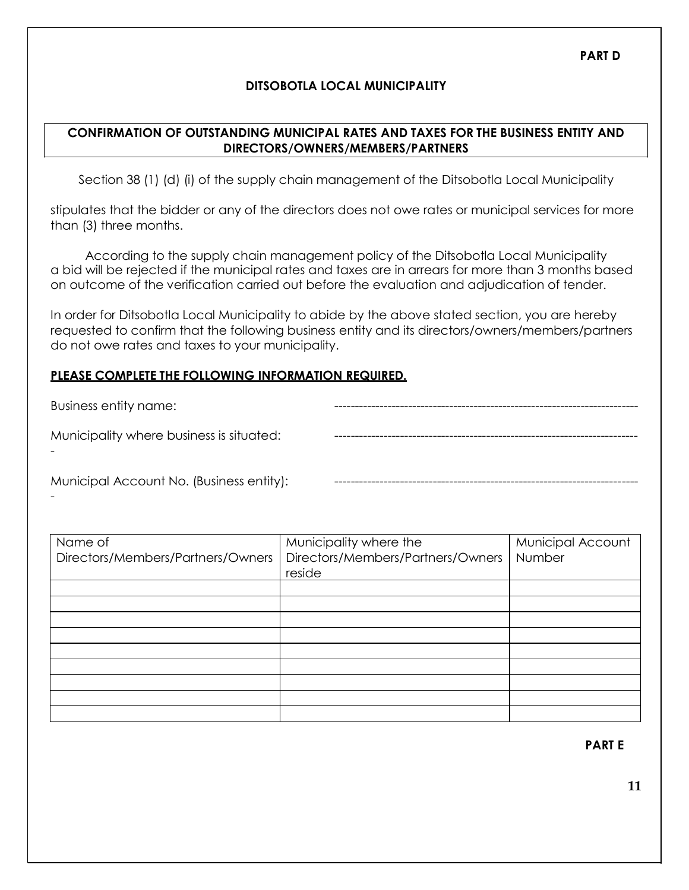## **DITSOBOTLA LOCAL MUNICIPALITY**

## **CONFIRMATION OF OUTSTANDING MUNICIPAL RATES AND TAXES FOR THE BUSINESS ENTITY AND DIRECTORS/OWNERS/MEMBERS/PARTNERS**

Section 38 (1) (d) (i) of the supply chain management of the Ditsobotla Local Municipality

stipulates that the bidder or any of the directors does not owe rates or municipal services for more than (3) three months.

According to the supply chain management policy of the Ditsobotla Local Municipality a bid will be rejected if the municipal rates and taxes are in arrears for more than 3 months based on outcome of the verification carried out before the evaluation and adjudication of tender.

In order for Ditsobotla Local Municipality to abide by the above stated section, you are hereby requested to confirm that the following business entity and its directors/owners/members/partners do not owe rates and taxes to your municipality.

## **PLEASE COMPLETE THE FOLLOWING INFORMATION REQUIRED.**

-

Business entity name: Municipality where business is situated: - -------------------------------------------------------------------------- Municipal Account No. (Business entity): --------------------------------------------------------------------------

| Name of<br>Directors/Members/Partners/Owners | Municipality where the<br>Directors/Members/Partners/Owners<br>reside | Municipal Account<br>Number |
|----------------------------------------------|-----------------------------------------------------------------------|-----------------------------|
|                                              |                                                                       |                             |
|                                              |                                                                       |                             |
|                                              |                                                                       |                             |
|                                              |                                                                       |                             |
|                                              |                                                                       |                             |
|                                              |                                                                       |                             |
|                                              |                                                                       |                             |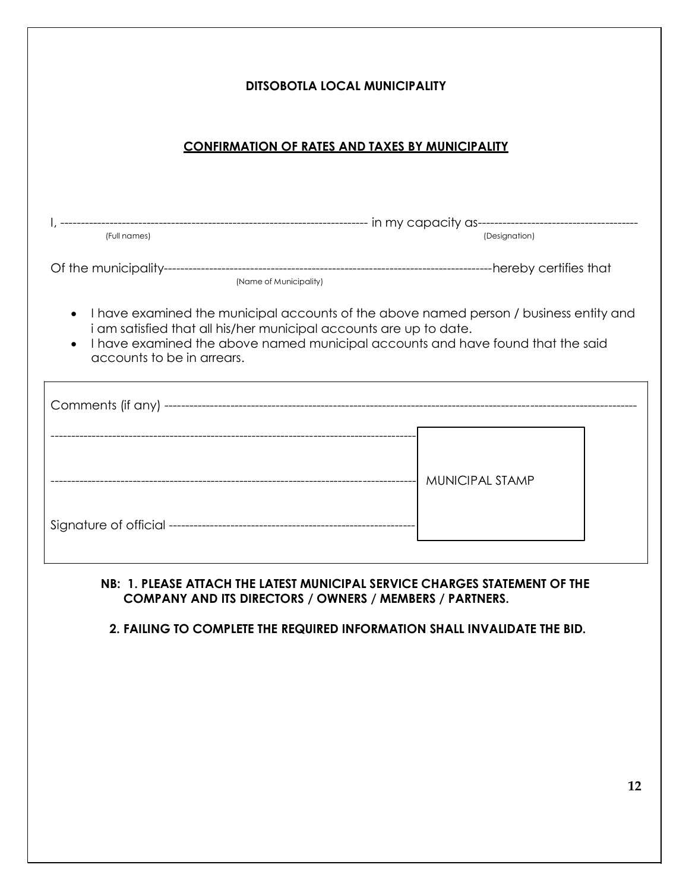| <b>DITSOBOTLA LOCAL MUNICIPALITY</b>                                                                                                                                                                                                                                                       |  |  |  |
|--------------------------------------------------------------------------------------------------------------------------------------------------------------------------------------------------------------------------------------------------------------------------------------------|--|--|--|
| <b>CONFIRMATION OF RATES AND TAXES BY MUNICIPALITY</b>                                                                                                                                                                                                                                     |  |  |  |
| (Designation)                                                                                                                                                                                                                                                                              |  |  |  |
|                                                                                                                                                                                                                                                                                            |  |  |  |
| I have examined the municipal accounts of the above named person / business entity and<br>$\bullet$<br>i am satisfied that all his/her municipal accounts are up to date.<br>I have examined the above named municipal accounts and have found that the said<br>accounts to be in arrears. |  |  |  |
|                                                                                                                                                                                                                                                                                            |  |  |  |
|                                                                                                                                                                                                                                                                                            |  |  |  |
|                                                                                                                                                                                                                                                                                            |  |  |  |

## **NB: 1. PLEASE ATTACH THE LATEST MUNICIPAL SERVICE CHARGES STATEMENT OF THE COMPANY AND ITS DIRECTORS / OWNERS / MEMBERS / PARTNERS.**

## **2. FAILING TO COMPLETE THE REQUIRED INFORMATION SHALL INVALIDATE THE BID.**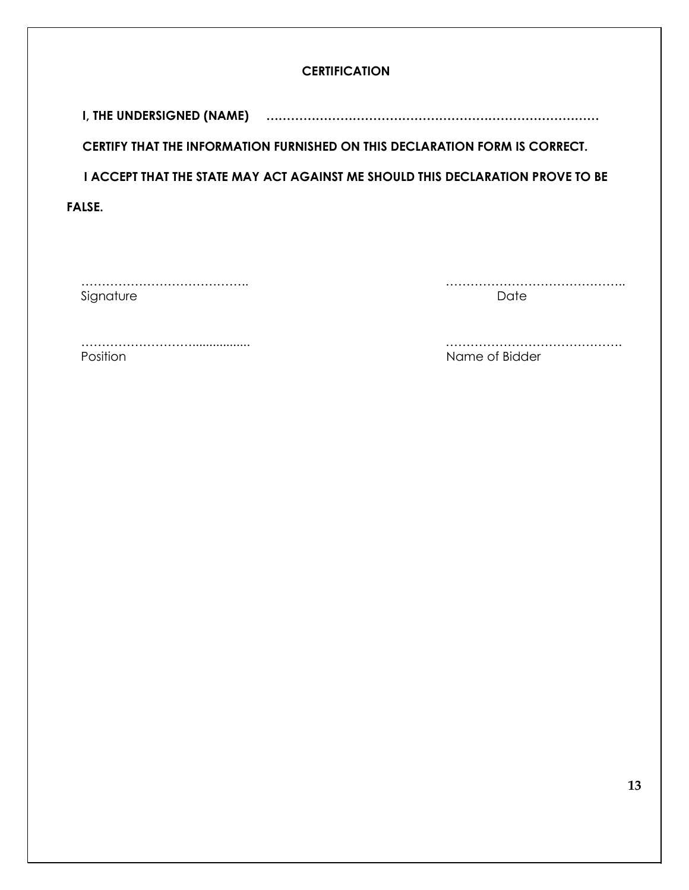## **CERTIFICATION**

**I, THE UNDERSIGNED (NAME) ………………………………………………………………………**

**CERTIFY THAT THE INFORMATION FURNISHED ON THIS DECLARATION FORM IS CORRECT.**

**I ACCEPT THAT THE STATE MAY ACT AGAINST ME SHOULD THIS DECLARATION PROVE TO BE** 

**FALSE.**

Signature Date

………………………………….. ……………………………………..

………………………................. ……………………………………. Position **Name of Bidder Name of Bidder** 

**13**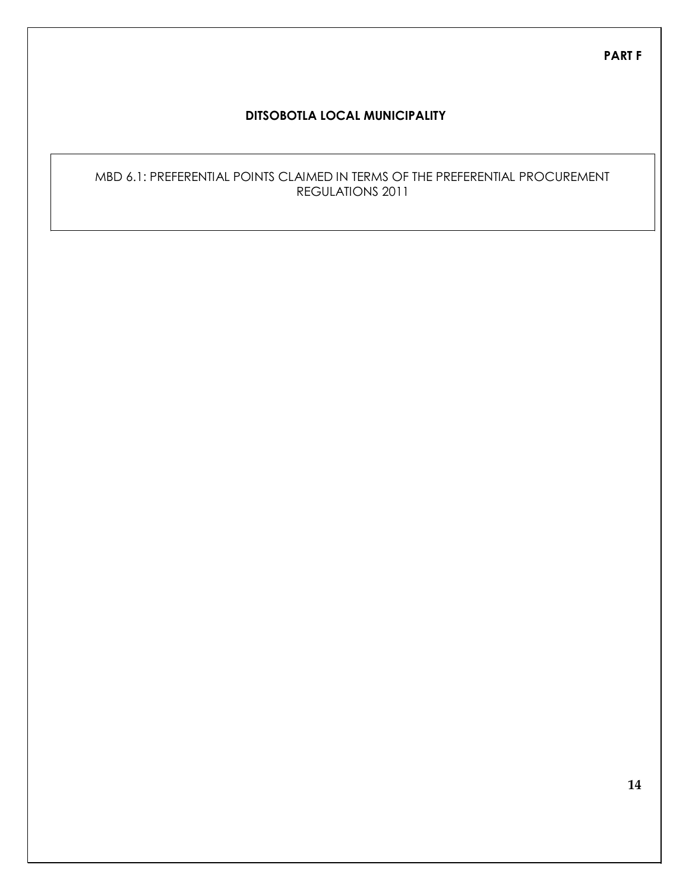**PART F**

### **DITSOBOTLA LOCAL MUNICIPALITY**

## MBD 6.1: PREFERENTIAL POINTS CLAIMED IN TERMS OF THE PREFERENTIAL PROCUREMENT REGULATIONS 2011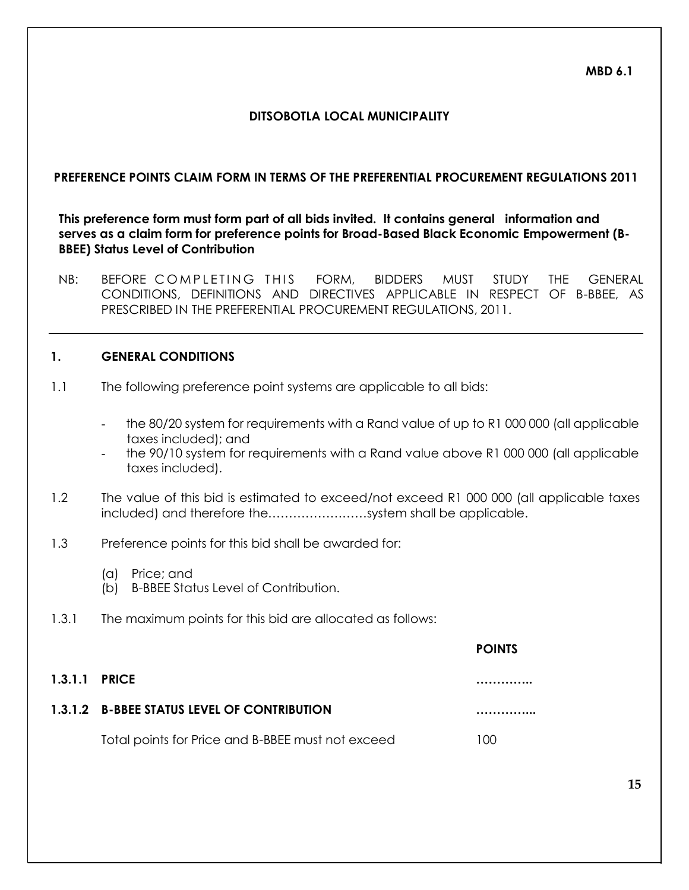**MBD 6.1**

## **DITSOBOTLA LOCAL MUNICIPALITY**

#### **PREFERENCE POINTS CLAIM FORM IN TERMS OF THE PREFERENTIAL PROCUREMENT REGULATIONS 2011**

**This preference form must form part of all bids invited. It contains general information and serves as a claim form for preference points for Broad-Based Black Economic Empowerment (B-BBEE) Status Level of Contribution**

NB: BEFORE COMPLETING THIS FORM, BIDDERS MUST STUDY THE GENERAL CONDITIONS, DEFINITIONS AND DIRECTIVES APPLICABLE IN RESPECT OF B-BBEE, AS PRESCRIBED IN THE PREFERENTIAL PROCUREMENT REGULATIONS, 2011.

#### **1. GENERAL CONDITIONS**

- 1.1 The following preference point systems are applicable to all bids:
	- the 80/20 system for requirements with a Rand value of up to R1 000 000 (all applicable taxes included); and
	- the 90/10 system for requirements with a Rand value above R1 000 000 (all applicable taxes included).

**POINTS**

- 1.2 The value of this bid is estimated to exceed/not exceed R1 000 000 (all applicable taxes included) and therefore the……………………system shall be applicable.
- 1.3 Preference points for this bid shall be awarded for:
	- (a) Price; and
	- (b) B-BBEE Status Level of Contribution.
- 1.3.1 The maximum points for this bid are allocated as follows:

| <b>1.3.1.1 PRICE</b> |                                                   |     |
|----------------------|---------------------------------------------------|-----|
|                      | 1.3.1.2 B-BBEE STATUS LEVEL OF CONTRIBUTION       |     |
|                      | Total points for Price and B-BBEE must not exceed | 100 |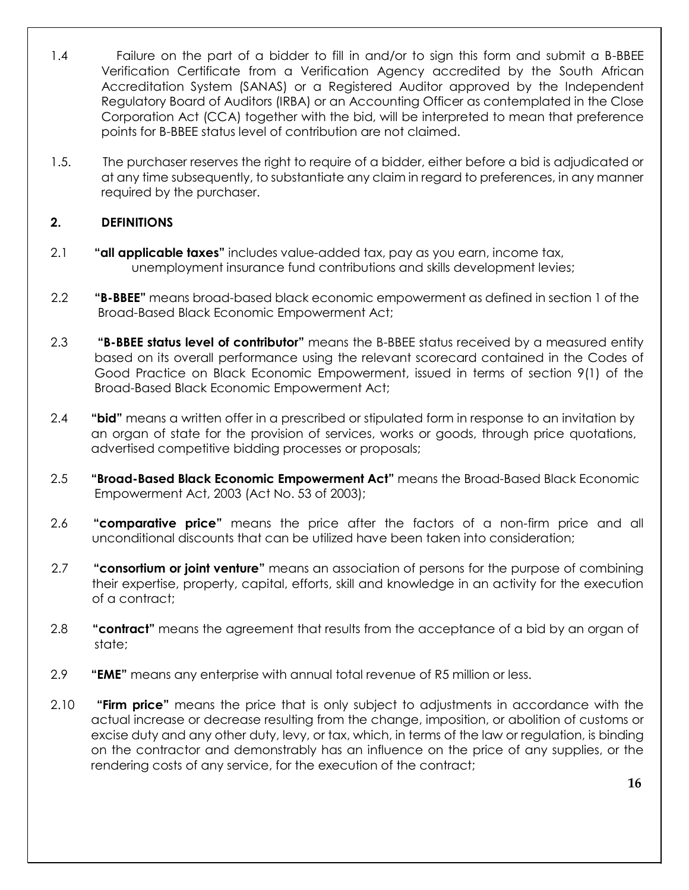- 1.4 Failure on the part of a bidder to fill in and/or to sign this form and submit a B-BBEE Verification Certificate from a Verification Agency accredited by the South African Accreditation System (SANAS) or a Registered Auditor approved by the Independent Regulatory Board of Auditors (IRBA) or an Accounting Officer as contemplated in the Close Corporation Act (CCA) together with the bid, will be interpreted to mean that preference points for B-BBEE status level of contribution are not claimed.
- 1.5. The purchaser reserves the right to require of a bidder, either before a bid is adjudicated or at any time subsequently, to substantiate any claim in regard to preferences, in any manner required by the purchaser.

# **2. DEFINITIONS**

- 2.1 **"all applicable taxes"** includes value-added tax, pay as you earn, income tax, unemployment insurance fund contributions and skills development levies;
- 2.2 **"B-BBEE"** means broad-based black economic empowerment as defined in section 1 of the Broad-Based Black Economic Empowerment Act;
- 2.3 **"B-BBEE status level of contributor"** means the B-BBEE status received by a measured entity based on its overall performance using the relevant scorecard contained in the Codes of Good Practice on Black Economic Empowerment, issued in terms of section 9(1) of the Broad-Based Black Economic Empowerment Act;
- 2.4 **"bid"** means a written offer in a prescribed or stipulated form in response to an invitation by an organ of state for the provision of services, works or goods, through price quotations, advertised competitive bidding processes or proposals;
- 2.5 **"Broad-Based Black Economic Empowerment Act"** means the Broad-Based Black Economic Empowerment Act, 2003 (Act No. 53 of 2003);
- 2.6 **"comparative price"** means the price after the factors of a non-firm price and all unconditional discounts that can be utilized have been taken into consideration;
- 2.7 **"consortium or joint venture"** means an association of persons for the purpose of combining their expertise, property, capital, efforts, skill and knowledge in an activity for the execution of a contract;
- 2.8 **"contract"** means the agreement that results from the acceptance of a bid by an organ of state;
- 2.9 **"EME"** means any enterprise with annual total revenue of R5 million or less.
- 2.10 **"Firm price"** means the price that is only subject to adjustments in accordance with the actual increase or decrease resulting from the change, imposition, or abolition of customs or excise duty and any other duty, levy, or tax, which, in terms of the law or regulation, is binding on the contractor and demonstrably has an influence on the price of any supplies, or the rendering costs of any service, for the execution of the contract;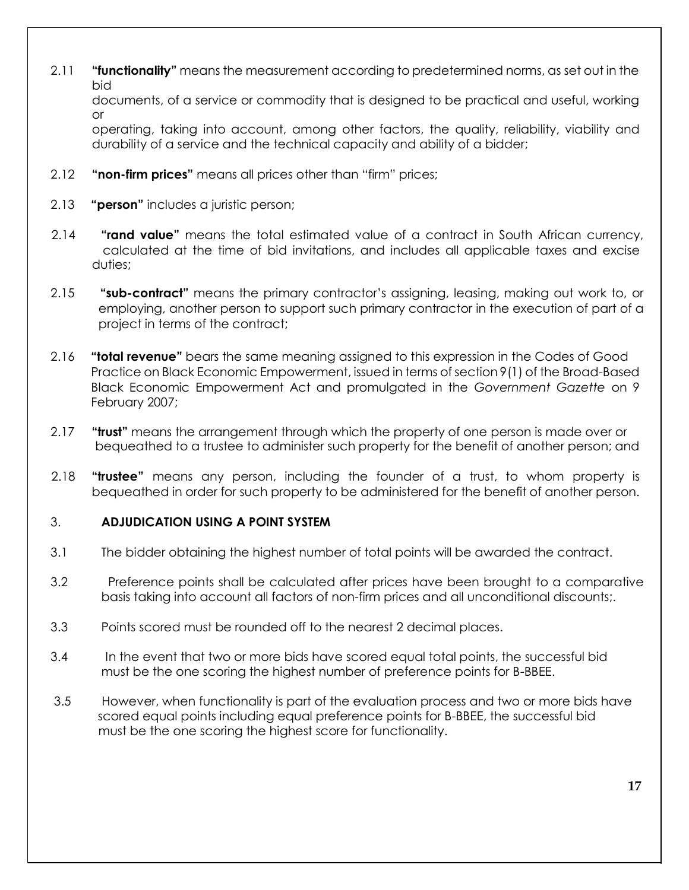2.11 **"functionality"** means the measurement according to predetermined norms, as set out in the bid

documents, of a service or commodity that is designed to be practical and useful, working or

operating, taking into account, among other factors, the quality, reliability, viability and durability of a service and the technical capacity and ability of a bidder;

- 2.12 **"non-firm prices"** means all prices other than "firm" prices;
- 2.13 **"person"** includes a juristic person;
- 2.14 **"rand value"** means the total estimated value of a contract in South African currency, calculated at the time of bid invitations, and includes all applicable taxes and excise duties;
- 2.15 **"sub-contract"** means the primary contractor's assigning, leasing, making out work to, or employing, another person to support such primary contractor in the execution of part of a project in terms of the contract;
- 2.16 **"total revenue"** bears the same meaning assigned to this expression in the Codes of Good Practice on Black Economic Empowerment, issued in terms of section 9(1) of the Broad-Based Black Economic Empowerment Act and promulgated in the *Government Gazette* on 9 February 2007;
- 2.17 **"trust"** means the arrangement through which the property of one person is made over or bequeathed to a trustee to administer such property for the benefit of another person; and
- 2.18 **"trustee"** means any person, including the founder of a trust, to whom property is bequeathed in order for such property to be administered for the benefit of another person.

## 3. **ADJUDICATION USING A POINT SYSTEM**

- 3.1 The bidder obtaining the highest number of total points will be awarded the contract.
- 3.2 Preference points shall be calculated after prices have been brought to a comparative basis taking into account all factors of non-firm prices and all unconditional discounts;.
- 3.3 Points scored must be rounded off to the nearest 2 decimal places.
- 3.4 In the event that two or more bids have scored equal total points, the successful bid must be the one scoring the highest number of preference points for B-BBEE.
- 3.5 However, when functionality is part of the evaluation process and two or more bids have scored equal points including equal preference points for B-BBEE, the successful bid must be the one scoring the highest score for functionality.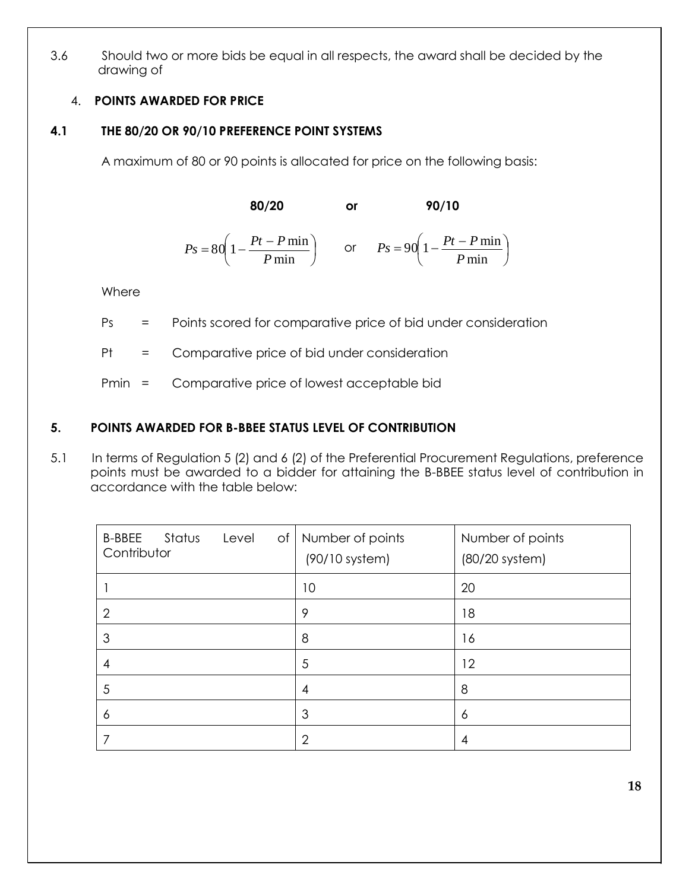3.6 Should two or more bids be equal in all respects, the award shall be decided by the drawing of

# 4. **POINTS AWARDED FOR PRICE**

# **4.1 THE 80/20 OR 90/10 PREFERENCE POINT SYSTEMS**

A maximum of 80 or 90 points is allocated for price on the following basis:

**80/20 or 90/10**

 $P_s = 80 \left( 1 - \frac{Pt - P \min}{P} \right)$  or  $P_s = 90 \left( 1$ or  $P_s = 90\left(1 - \frac{Pt - P \min}{R}\right)$ *P* min *P* min

**Where** 

Ps = Points scored for comparative price of bid under consideration

Pt = Comparative price of bid under consideration

Pmin = Comparative price of lowest acceptable bid

# **5. POINTS AWARDED FOR B-BBEE STATUS LEVEL OF CONTRIBUTION**

5.1 In terms of Regulation 5 (2) and 6 (2) of the Preferential Procurement Regulations, preference points must be awarded to a bidder for attaining the B-BBEE status level of contribution in accordance with the table below:

| Status<br><b>B-BBEE</b><br>Level<br>of<br>Contributor | Number of points<br>$(90/10$ system) | Number of points<br>$(80/20$ system) |
|-------------------------------------------------------|--------------------------------------|--------------------------------------|
|                                                       | 10                                   | 20                                   |
| $\overline{2}$                                        | 9                                    | 18                                   |
| 3                                                     | 8                                    | 16                                   |
| 4                                                     | 5                                    | 12                                   |
| 5                                                     | 4                                    | 8                                    |
| 6                                                     | 3                                    | 6                                    |
|                                                       | 2                                    | 4                                    |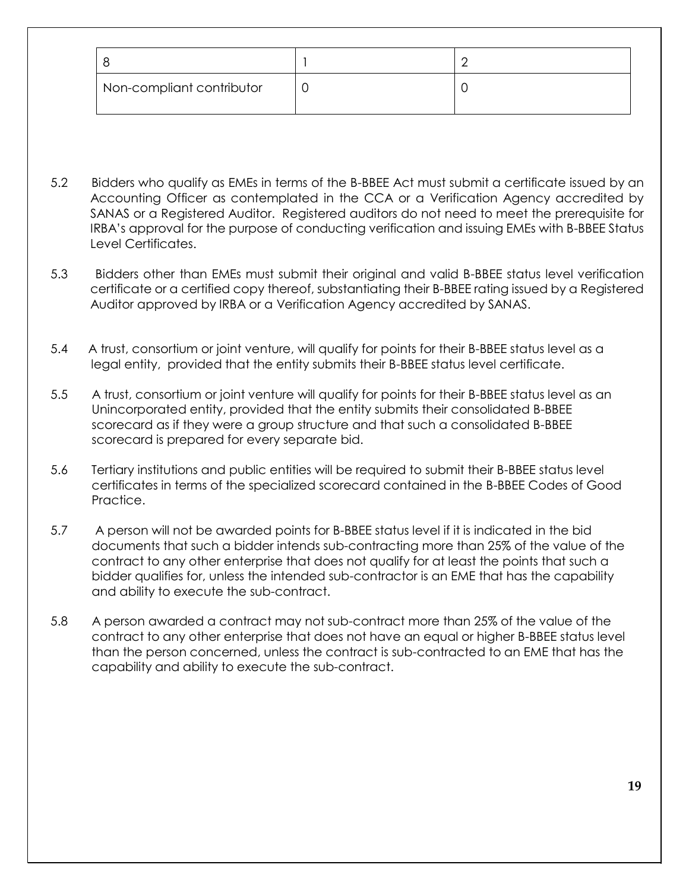| Non-compliant contributor |  |
|---------------------------|--|

- 5.2 Bidders who qualify as EMEs in terms of the B-BBEE Act must submit a certificate issued by an Accounting Officer as contemplated in the CCA or a Verification Agency accredited by SANAS or a Registered Auditor. Registered auditors do not need to meet the prerequisite for IRBA's approval for the purpose of conducting verification and issuing EMEs with B-BBEE Status Level Certificates.
- 5.3 Bidders other than EMEs must submit their original and valid B-BBEE status level verification certificate or a certified copy thereof, substantiating their B-BBEE rating issued by a Registered Auditor approved by IRBA or a Verification Agency accredited by SANAS.
- 5.4 A trust, consortium or joint venture, will qualify for points for their B-BBEE status level as a legal entity, provided that the entity submits their B-BBEE status level certificate.
- 5.5 A trust, consortium or joint venture will qualify for points for their B-BBEE status level as an Unincorporated entity, provided that the entity submits their consolidated B-BBEE scorecard as if they were a group structure and that such a consolidated B-BBEE scorecard is prepared for every separate bid.
- 5.6 Tertiary institutions and public entities will be required to submit their B-BBEE status level certificates in terms of the specialized scorecard contained in the B-BBEE Codes of Good Practice.
- 5.7 A person will not be awarded points for B-BBEE status level if it is indicated in the bid documents that such a bidder intends sub-contracting more than 25% of the value of the contract to any other enterprise that does not qualify for at least the points that such a bidder qualifies for, unless the intended sub-contractor is an EME that has the capability and ability to execute the sub-contract.
- 5.8 A person awarded a contract may not sub-contract more than 25% of the value of the contract to any other enterprise that does not have an equal or higher B-BBEE status level than the person concerned, unless the contract is sub-contracted to an EME that has the capability and ability to execute the sub-contract.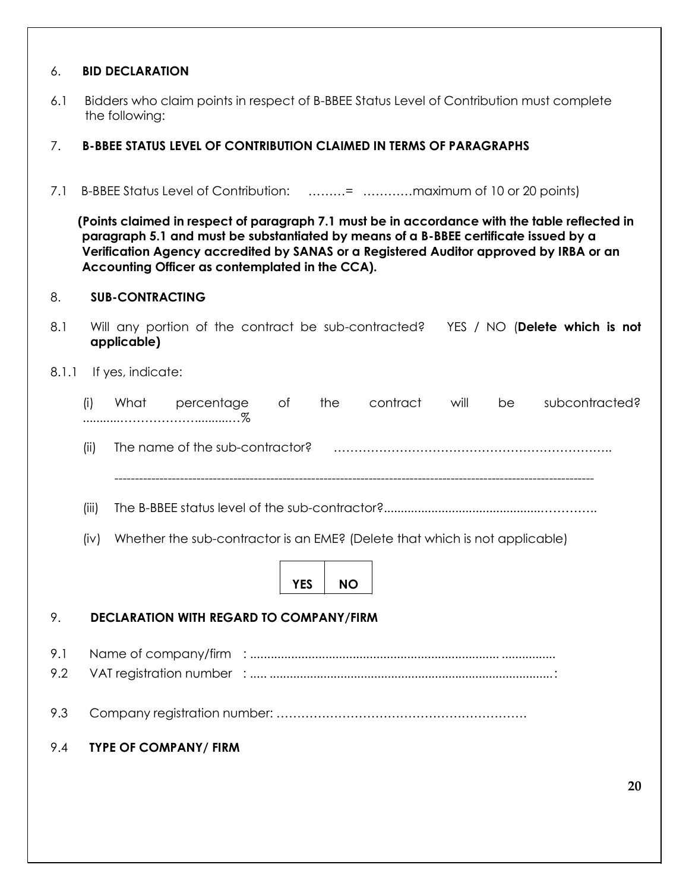## 6. **BID DECLARATION**

6.1 Bidders who claim points in respect of B-BBEE Status Level of Contribution must complete the following:

#### 7. **B-BBEE STATUS LEVEL OF CONTRIBUTION CLAIMED IN TERMS OF PARAGRAPHS**

7.1 B-BBEE Status Level of Contribution: ………= …………maximum of 10 or 20 points)

**(Points claimed in respect of paragraph 7.1 must be in accordance with the table reflected in paragraph 5.1 and must be substantiated by means of a B-BBEE certificate issued by a Verification Agency accredited by SANAS or a Registered Auditor approved by IRBA or an Accounting Officer as contemplated in the CCA).**

## 8. **SUB-CONTRACTING**

| 8.1 | Will any portion of the contract be sub-contracted? | YES / NO ( <b>Delete which is not</b> |
|-----|-----------------------------------------------------|---------------------------------------|
|     | applicable)                                         |                                       |
|     |                                                     |                                       |

### 8.1.1 If yes, indicate:

| (i) | What | percentage | the. | contract | will | be subcontracted? |
|-----|------|------------|------|----------|------|-------------------|
|     |      |            |      |          |      |                   |

(ii) The name of the sub-contractor? …………………………………………………………..

---------------------------------------------------------------------------------------------------------------------

- (iii) The B-BBEE status level of the sub-contractor?..............................................…………..
- (iv) Whether the sub-contractor is an EME? (Delete that which is not applicable)



#### 9. **DECLARATION WITH REGARD TO COMPANY/FIRM**

9.1 Name of company/firm : ......................................................................... ................ 9.2 VAT registration number : ..... ....................................................................................:

- 9.3 Company registration number: …………………………………………………….
- 9.4 **TYPE OF COMPANY/ FIRM**

**20**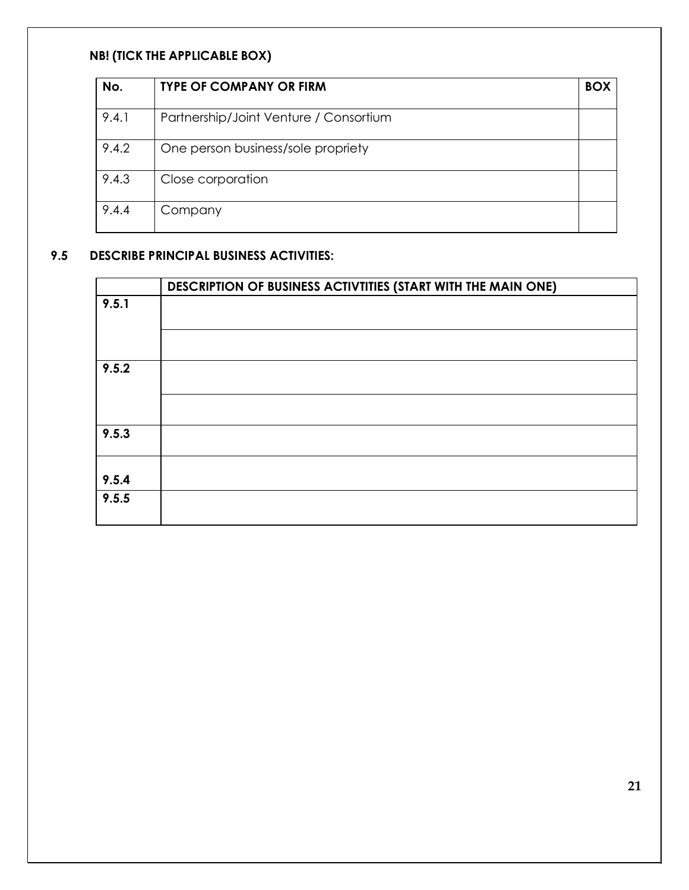# **NB! (TICK THE APPLICABLE BOX)**

| No.   | <b>TYPE OF COMPANY OR FIRM</b>         | BOX |
|-------|----------------------------------------|-----|
| 9.4.1 | Partnership/Joint Venture / Consortium |     |
| 9.4.2 | One person business/sole propriety     |     |
| 9.4.3 | Close corporation                      |     |
| 9.4.4 | Company                                |     |

# **9.5 DESCRIBE PRINCIPAL BUSINESS ACTIVITIES:**

|       | DESCRIPTION OF BUSINESS ACTIVITIES (START WITH THE MAIN ONE) |
|-------|--------------------------------------------------------------|
| 9.5.1 |                                                              |
|       |                                                              |
| 9.5.2 |                                                              |
|       |                                                              |
| 9.5.3 |                                                              |
| 9.5.4 |                                                              |
| 9.5.5 |                                                              |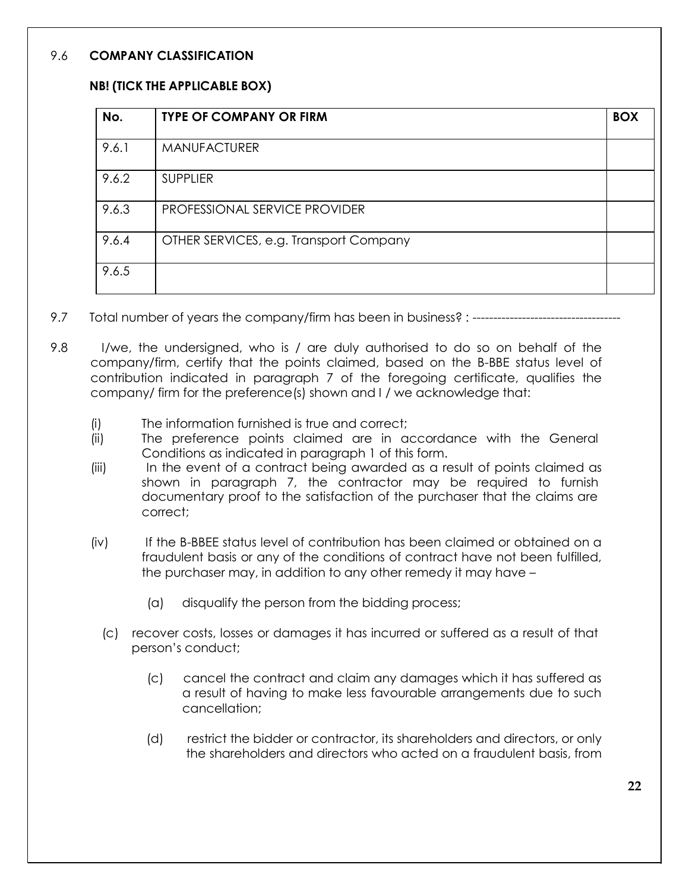## 9.6 **COMPANY CLASSIFICATION**

## **NB! (TICK THE APPLICABLE BOX)**

| No.   | <b>TYPE OF COMPANY OR FIRM</b>         | <b>BOX</b> |
|-------|----------------------------------------|------------|
| 9.6.1 | MANUFACTURER                           |            |
| 9.6.2 | <b>SUPPLIER</b>                        |            |
| 9.6.3 | PROFESSIONAL SERVICE PROVIDER          |            |
| 9.6.4 | OTHER SERVICES, e.g. Transport Company |            |
| 9.6.5 |                                        |            |

- 9.7 Total number of years the company/firm has been in business? : -------------
- 9.8 I/we, the undersigned, who is / are duly authorised to do so on behalf of the company/firm, certify that the points claimed, based on the B-BBE status level of contribution indicated in paragraph 7 of the foregoing certificate, qualifies the company/ firm for the preference(s) shown and I / we acknowledge that:
	- (i) The information furnished is true and correct;
	- (ii) The preference points claimed are in accordance with the General Conditions as indicated in paragraph 1 of this form.
	- (iii) In the event of a contract being awarded as a result of points claimed as shown in paragraph 7, the contractor may be required to furnish documentary proof to the satisfaction of the purchaser that the claims are correct;
	- (iv) If the B-BBEE status level of contribution has been claimed or obtained on a fraudulent basis or any of the conditions of contract have not been fulfilled, the purchaser may, in addition to any other remedy it may have –
		- (a) disqualify the person from the bidding process;
		- (c) recover costs, losses or damages it has incurred or suffered as a result of that person's conduct;
			- (c) cancel the contract and claim any damages which it has suffered as a result of having to make less favourable arrangements due to such cancellation;
			- (d) restrict the bidder or contractor, its shareholders and directors, or only the shareholders and directors who acted on a fraudulent basis, from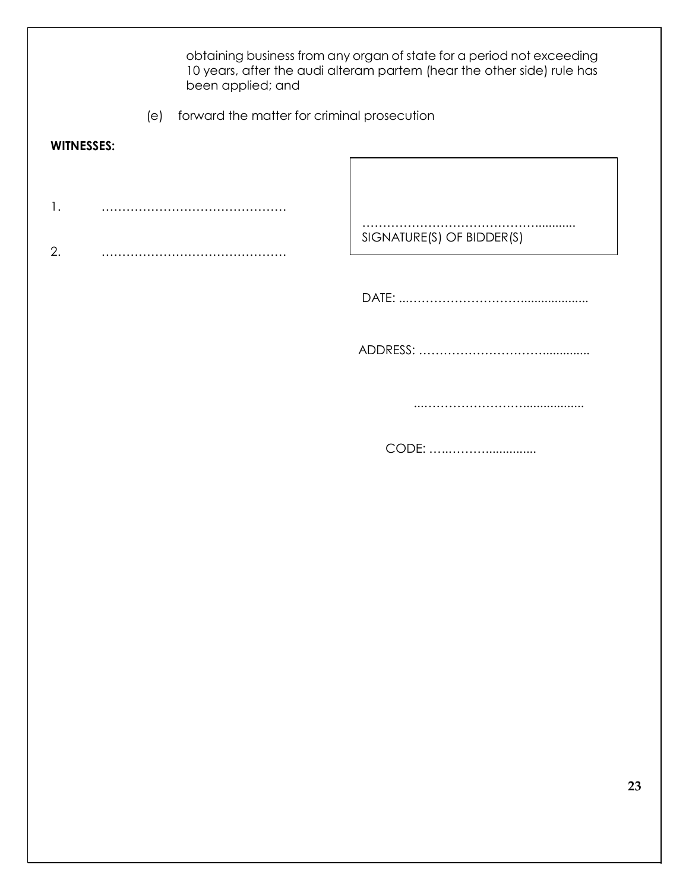obtaining business from any organ of state for a period not exceeding 10 years, after the audi alteram partem (hear the other side) rule has been applied; and (e) forward the matter for criminal prosecution **WITNESSES:** 1. ……………………………………… 2. ……………………………………… …………………………………………………… SIGNATURE(S) OF BIDDER(S) DATE: ...……………………….................... ADDRESS: ………………………….............. ...…………………….................. CODE: …..………...............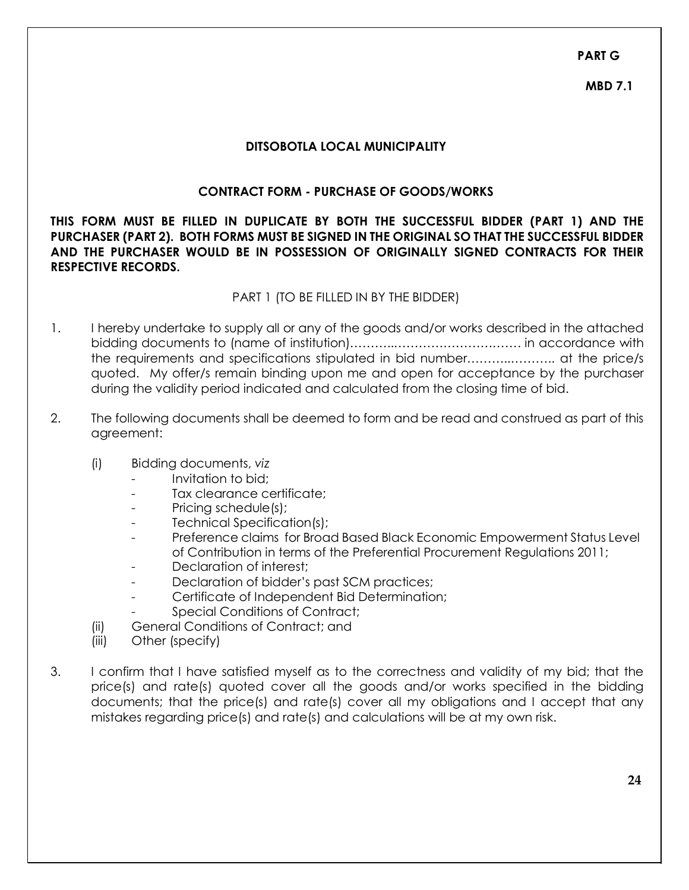**PART G**

**MBD 7.1**

## **DITSOBOTLA LOCAL MUNICIPALITY**

## **CONTRACT FORM - PURCHASE OF GOODS/WORKS**

**THIS FORM MUST BE FILLED IN DUPLICATE BY BOTH THE SUCCESSFUL BIDDER (PART 1) AND THE PURCHASER (PART 2). BOTH FORMS MUST BE SIGNED IN THE ORIGINAL SO THAT THE SUCCESSFUL BIDDER AND THE PURCHASER WOULD BE IN POSSESSION OF ORIGINALLY SIGNED CONTRACTS FOR THEIR RESPECTIVE RECORDS.**

#### PART 1 (TO BE FILLED IN BY THE BIDDER)

- 1. I hereby undertake to supply all or any of the goods and/or works described in the attached bidding documents to (name of institution)………..…………………………. in accordance with the requirements and specifications stipulated in bid number………..……….. at the price/s quoted. My offer/s remain binding upon me and open for acceptance by the purchaser during the validity period indicated and calculated from the closing time of bid.
- 2. The following documents shall be deemed to form and be read and construed as part of this agreement:
	- (i) Bidding documents, *viz*
		- Invitation to bid;
		- Tax clearance certificate;
		- Pricing schedule(s);
		- Technical Specification(s);
		- *-* Preference claims for Broad Based Black Economic Empowerment Status Level of Contribution in terms of the Preferential Procurement Regulations 2011;
		- Declaration of interest:
		- Declaration of bidder's past SCM practices;
		- Certificate of Independent Bid Determination;
		- **Special Conditions of Contract:**
	- (ii) General Conditions of Contract; and
	- (iii) Other (specify)
- 3. I confirm that I have satisfied myself as to the correctness and validity of my bid; that the price(s) and rate(s) quoted cover all the goods and/or works specified in the bidding documents; that the price(s) and rate(s) cover all my obligations and I accept that any mistakes regarding price(s) and rate(s) and calculations will be at my own risk.

**24**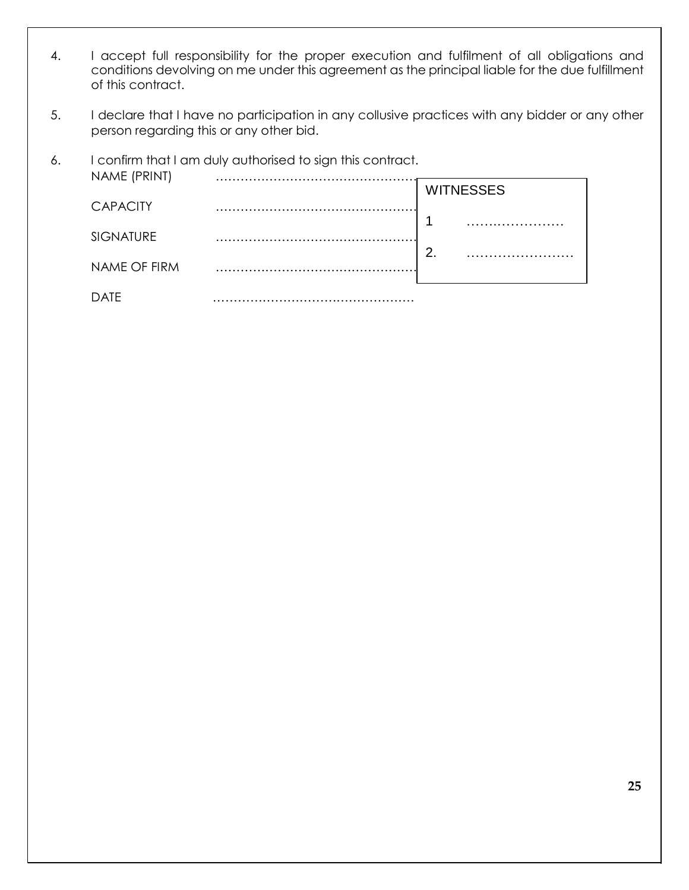- 4. I accept full responsibility for the proper execution and fulfilment of all obligations and conditions devolving on me under this agreement as the principal liable for the due fulfillment of this contract.
- 5. I declare that I have no participation in any collusive practices with any bidder or any other person regarding this or any other bid.

| 6. | NAME (PRINT)     | I confirm that I am duly authorised to sign this contract. |                  |  |  |
|----|------------------|------------------------------------------------------------|------------------|--|--|
|    |                  |                                                            | <b>WITNESSES</b> |  |  |
|    | <b>CAPACITY</b>  |                                                            |                  |  |  |
|    | <b>SIGNATURE</b> |                                                            | 2.               |  |  |
|    | NAME OF FIRM     |                                                            |                  |  |  |
|    | DATF             |                                                            |                  |  |  |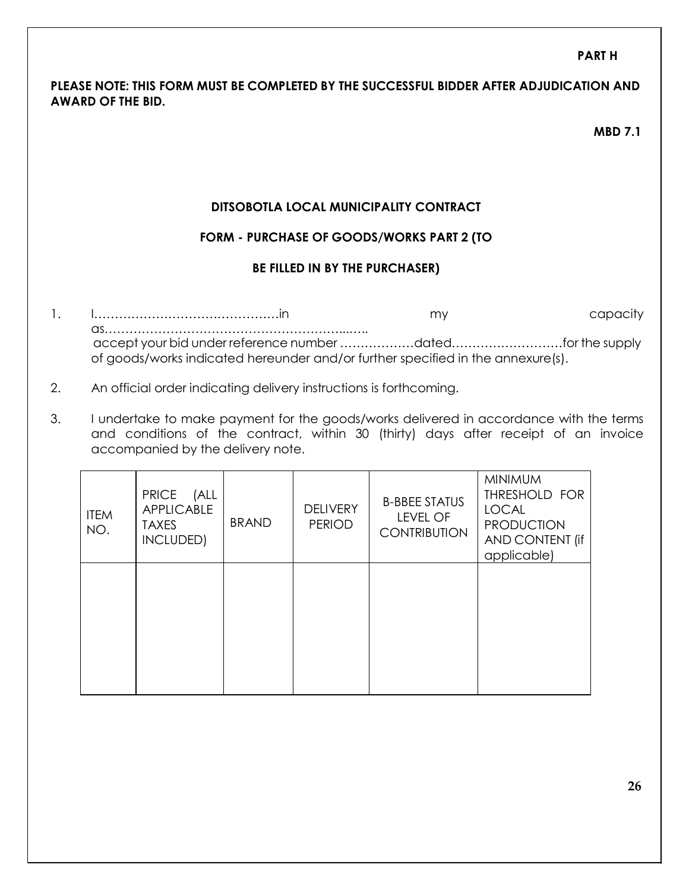## **PART H**

## **PLEASE NOTE: THIS FORM MUST BE COMPLETED BY THE SUCCESSFUL BIDDER AFTER ADJUDICATION AND AWARD OF THE BID.**

#### **MBD 7.1**

## **DITSOBOTLA LOCAL MUNICIPALITY CONTRACT**

## **FORM - PURCHASE OF GOODS/WORKS PART 2 (TO**

#### **BE FILLED IN BY THE PURCHASER)**

- 1. I………………………………………in my capacity as…………………………………………………...….. accept your bid under reference number ………………dated………………………for the supply of goods/works indicated hereunder and/or further specified in the annexure(s).
- 2. An official order indicating delivery instructions is forthcoming.
- 3. I undertake to make payment for the goods/works delivered in accordance with the terms and conditions of the contract, within 30 (thirty) days after receipt of an invoice accompanied by the delivery note.

| <b>ITEM</b><br>NO. | PRICE (ALL<br>APPLICABLE<br><b>TAXES</b><br>INCLUDED) | <b>BRAND</b> | <b>DELIVERY</b><br><b>PERIOD</b> | <b>B-BBEE STATUS</b><br><b>LEVEL OF</b><br><b>CONTRIBUTION</b> | <b>MINIMUM</b><br>THRESHOLD FOR<br><b>LOCAL</b><br><b>PRODUCTION</b><br>AND CONTENT (if<br>applicable) |
|--------------------|-------------------------------------------------------|--------------|----------------------------------|----------------------------------------------------------------|--------------------------------------------------------------------------------------------------------|
|                    |                                                       |              |                                  |                                                                |                                                                                                        |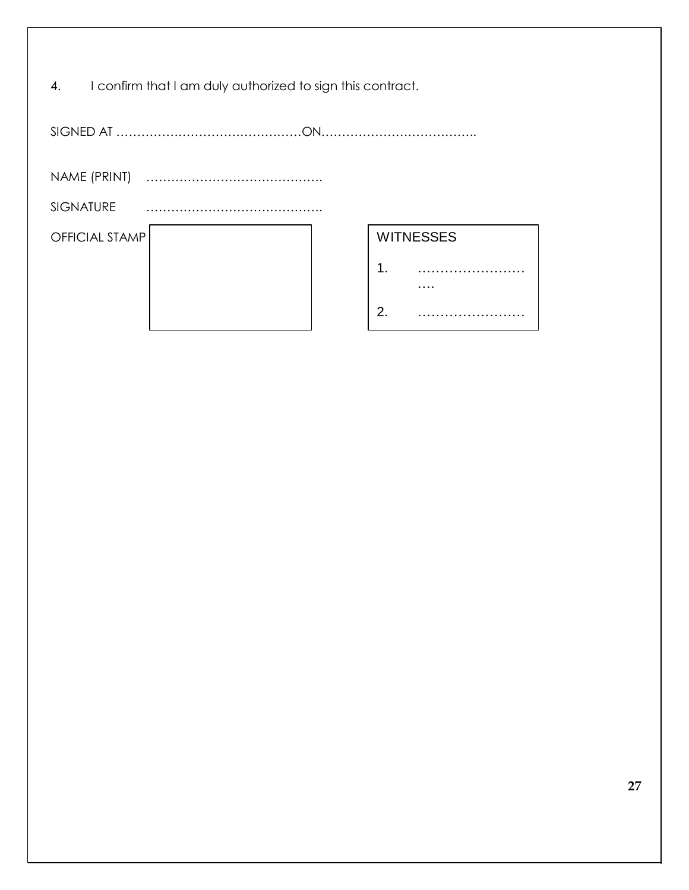| 4.<br>I confirm that I am duly authorized to sign this contract. |                  |  |  |  |  |  |
|------------------------------------------------------------------|------------------|--|--|--|--|--|
|                                                                  |                  |  |  |  |  |  |
|                                                                  |                  |  |  |  |  |  |
| <b>SIGNATURE</b>                                                 |                  |  |  |  |  |  |
| <b>OFFICIAL STAMP</b>                                            | <b>WITNESSES</b> |  |  |  |  |  |
|                                                                  | 1.               |  |  |  |  |  |
|                                                                  | 2.               |  |  |  |  |  |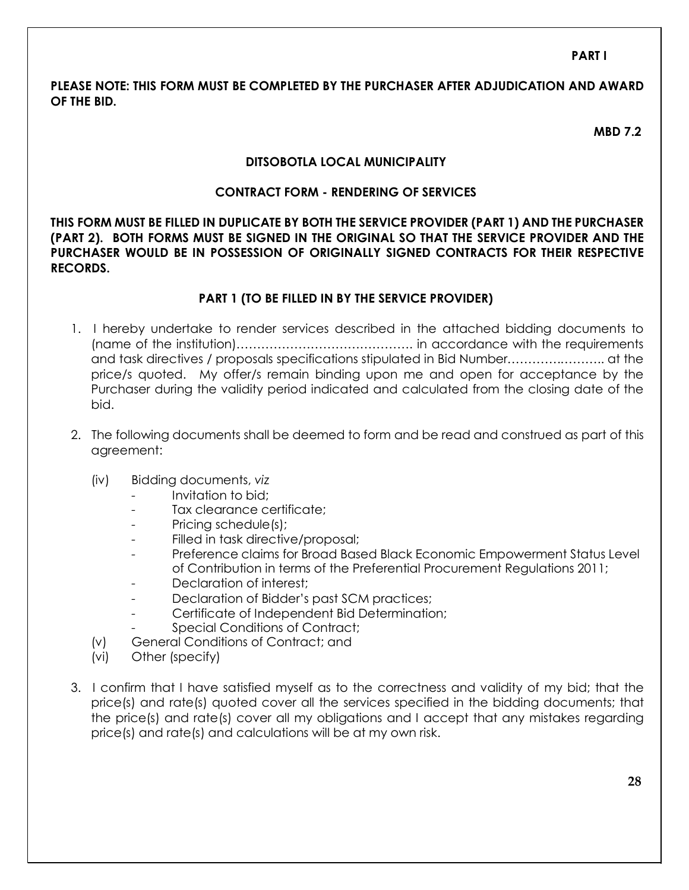**PART I**

## **PLEASE NOTE: THIS FORM MUST BE COMPLETED BY THE PURCHASER AFTER ADJUDICATION AND AWARD OF THE BID.**

**MBD 7.2**

## **DITSOBOTLA LOCAL MUNICIPALITY**

## **CONTRACT FORM - RENDERING OF SERVICES**

**THIS FORM MUST BE FILLED IN DUPLICATE BY BOTH THE SERVICE PROVIDER (PART 1) AND THE PURCHASER (PART 2). BOTH FORMS MUST BE SIGNED IN THE ORIGINAL SO THAT THE SERVICE PROVIDER AND THE PURCHASER WOULD BE IN POSSESSION OF ORIGINALLY SIGNED CONTRACTS FOR THEIR RESPECTIVE RECORDS.**

## **PART 1 (TO BE FILLED IN BY THE SERVICE PROVIDER)**

- 1. I hereby undertake to render services described in the attached bidding documents to (name of the institution)……………………………………. in accordance with the requirements and task directives / proposals specifications stipulated in Bid Number………….……….. at the price/s quoted. My offer/s remain binding upon me and open for acceptance by the Purchaser during the validity period indicated and calculated from the closing date of the bid.
- 2. The following documents shall be deemed to form and be read and construed as part of this agreement:
	- (iv) Bidding documents, *viz*
		- Invitation to bid;
		- Tax clearance certificate;
		- Pricing schedule(s);
		- Filled in task directive/proposal;
		- *-* Preference claims for Broad Based Black Economic Empowerment Status Level of Contribution in terms of the Preferential Procurement Regulations 2011;
		- Declaration of interest;
		- Declaration of Bidder's past SCM practices;
		- Certificate of Independent Bid Determination;
		- **Special Conditions of Contract:**
	- (v) General Conditions of Contract; and
	- (vi) Other (specify)
- 3. I confirm that I have satisfied myself as to the correctness and validity of my bid; that the price(s) and rate(s) quoted cover all the services specified in the bidding documents; that the price(s) and rate(s) cover all my obligations and I accept that any mistakes regarding price(s) and rate(s) and calculations will be at my own risk.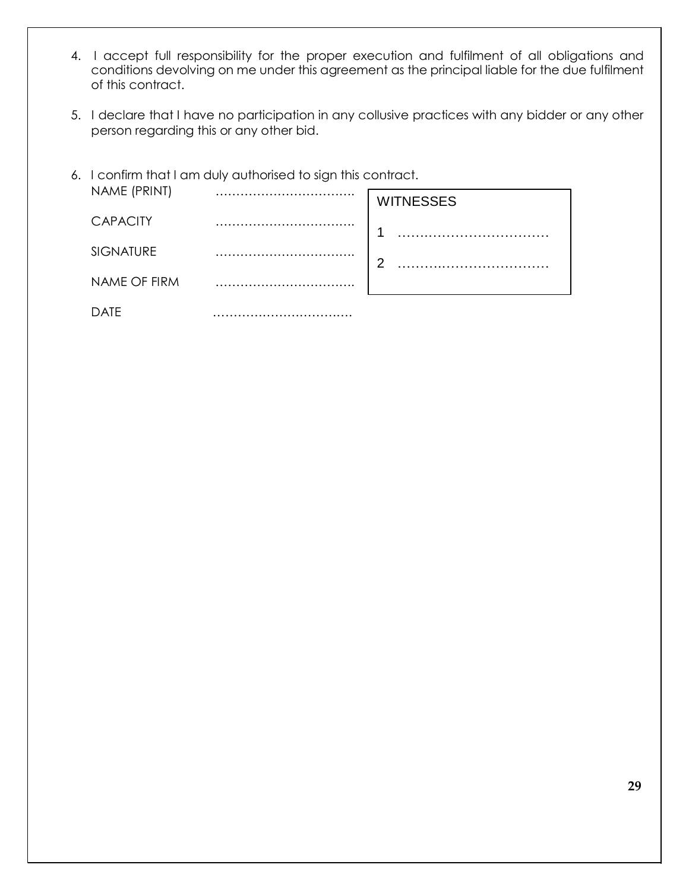- 4. I accept full responsibility for the proper execution and fulfilment of all obligations and conditions devolving on me under this agreement as the principal liable for the due fulfilment of this contract.
- 5. I declare that I have no participation in any collusive practices with any bidder or any other person regarding this or any other bid.

|                  | 6. I confirm that I am duly authorised to sign this contract. |                  |  |  |
|------------------|---------------------------------------------------------------|------------------|--|--|
| NAME (PRINT)     |                                                               | <b>WITNESSES</b> |  |  |
| <b>CAPACITY</b>  |                                                               |                  |  |  |
| <b>SIGNATURE</b> |                                                               |                  |  |  |
| NAME OF FIRM     |                                                               |                  |  |  |
| △Ⅰ⊢              |                                                               |                  |  |  |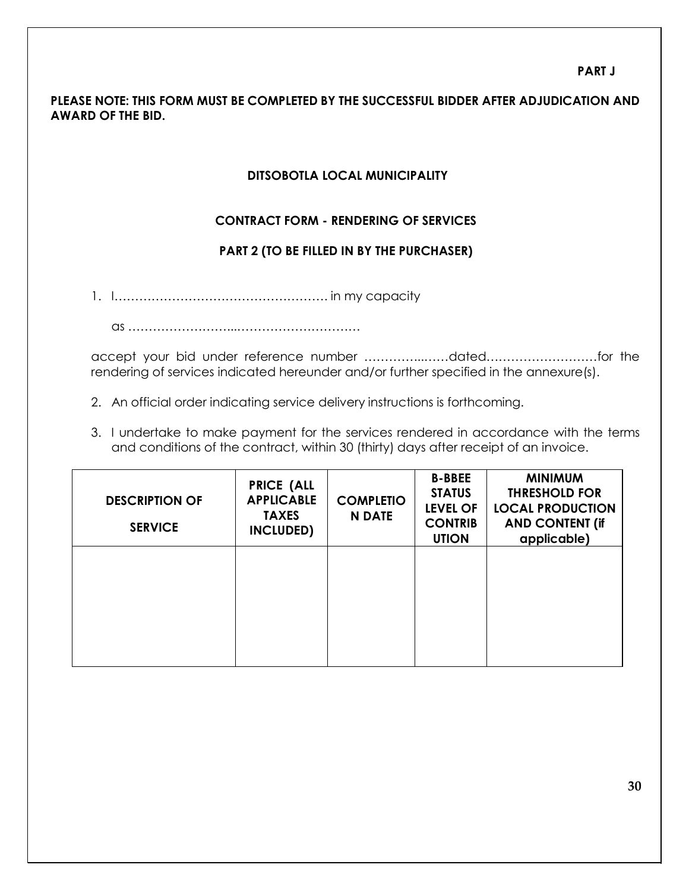## **PLEASE NOTE: THIS FORM MUST BE COMPLETED BY THE SUCCESSFUL BIDDER AFTER ADJUDICATION AND AWARD OF THE BID.**

## **DITSOBOTLA LOCAL MUNICIPALITY**

## **CONTRACT FORM - RENDERING OF SERVICES**

## **PART 2 (TO BE FILLED IN BY THE PURCHASER)**

1. I……………………………………………. in my capacity

as ……………………...…………………………

accept your bid under reference number …………...……dated………………………for the rendering of services indicated hereunder and/or further specified in the annexure(s).

- 2. An official order indicating service delivery instructions is forthcoming.
- 3. I undertake to make payment for the services rendered in accordance with the terms and conditions of the contract, within 30 (thirty) days after receipt of an invoice.

| <b>DESCRIPTION OF</b><br><b>SERVICE</b> | <b>PRICE (ALL</b><br><b>APPLICABLE</b><br><b>TAXES</b><br>INCLUDED) | <b>COMPLETIO</b><br><b>N DATE</b> | <b>B-BBEE</b><br><b>STATUS</b><br><b>LEVEL OF</b><br><b>CONTRIB</b><br><b>UTION</b> | <b>MINIMUM</b><br><b>THRESHOLD FOR</b><br><b>LOCAL PRODUCTION</b><br><b>AND CONTENT (if</b><br>applicable) |
|-----------------------------------------|---------------------------------------------------------------------|-----------------------------------|-------------------------------------------------------------------------------------|------------------------------------------------------------------------------------------------------------|
|                                         |                                                                     |                                   |                                                                                     |                                                                                                            |
|                                         |                                                                     |                                   |                                                                                     |                                                                                                            |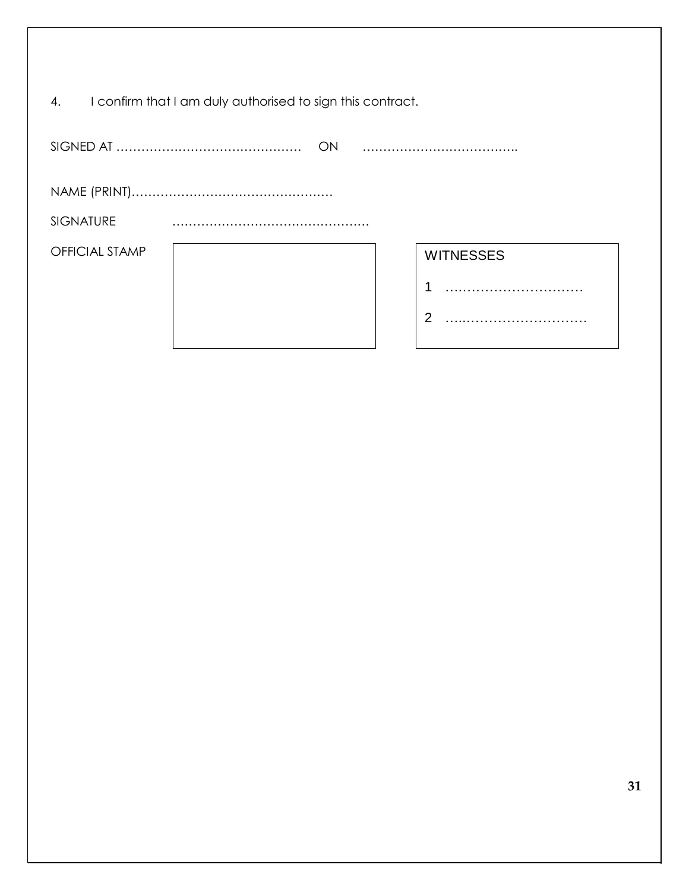| I confirm that I am duly authorised to sign this contract.<br>4. |                  |   |  |  |  |  |
|------------------------------------------------------------------|------------------|---|--|--|--|--|
| ON                                                               |                  |   |  |  |  |  |
|                                                                  |                  |   |  |  |  |  |
| <b>SIGNATURE</b>                                                 |                  |   |  |  |  |  |
| <b>OFFICIAL STAMP</b>                                            | <b>WITNESSES</b> |   |  |  |  |  |
|                                                                  |                  | 1 |  |  |  |  |
|                                                                  |                  | 2 |  |  |  |  |

I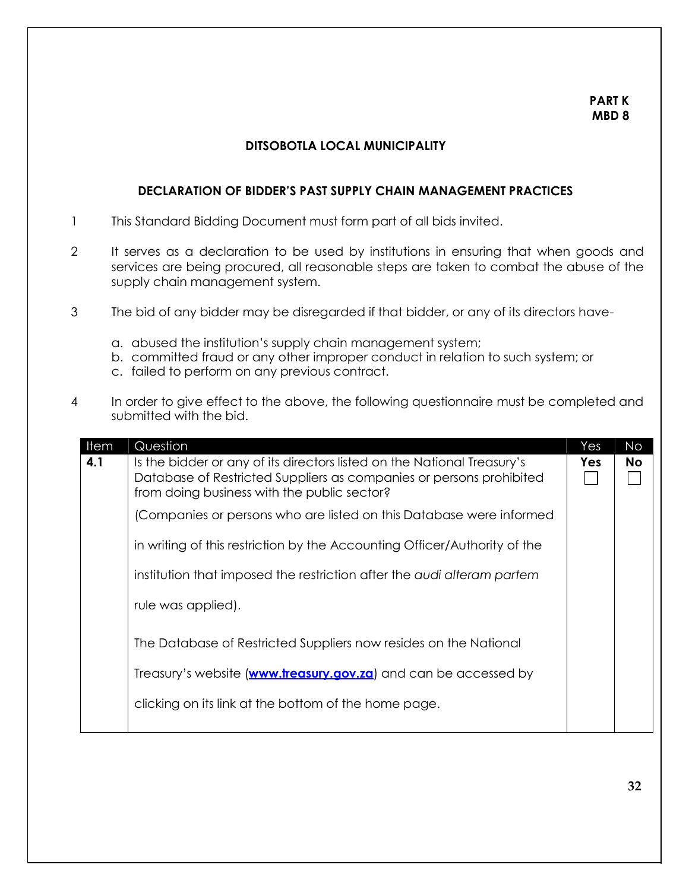#### **PART K MBD 8**

#### **DITSOBOTLA LOCAL MUNICIPALITY**

#### **DECLARATION OF BIDDER'S PAST SUPPLY CHAIN MANAGEMENT PRACTICES**

- 1 This Standard Bidding Document must form part of all bids invited.
- 2 It serves as a declaration to be used by institutions in ensuring that when goods and services are being procured, all reasonable steps are taken to combat the abuse of the supply chain management system.
- 3 The bid of any bidder may be disregarded if that bidder, or any of its directors have
	- a. abused the institution's supply chain management system;
	- b. committed fraud or any other improper conduct in relation to such system; or
	- c. failed to perform on any previous contract.
- 4 In order to give effect to the above, the following questionnaire must be completed and submitted with the bid.

| Item | Question                                                                                                                                                                                      | Yes | <b>No</b> |
|------|-----------------------------------------------------------------------------------------------------------------------------------------------------------------------------------------------|-----|-----------|
| 4.1  | Is the bidder or any of its directors listed on the National Treasury's<br>Database of Restricted Suppliers as companies or persons prohibited<br>from doing business with the public sector? | Yes | <b>No</b> |
|      | (Companies or persons who are listed on this Database were informed                                                                                                                           |     |           |
|      | in writing of this restriction by the Accounting Officer/Authority of the                                                                                                                     |     |           |
|      | institution that imposed the restriction after the audi alteram partem                                                                                                                        |     |           |
|      | rule was applied).                                                                                                                                                                            |     |           |
|      | The Database of Restricted Suppliers now resides on the National                                                                                                                              |     |           |
|      | Treasury's website (www.treasury.gov.za) and can be accessed by                                                                                                                               |     |           |
|      | clicking on its link at the bottom of the home page.                                                                                                                                          |     |           |
|      |                                                                                                                                                                                               |     |           |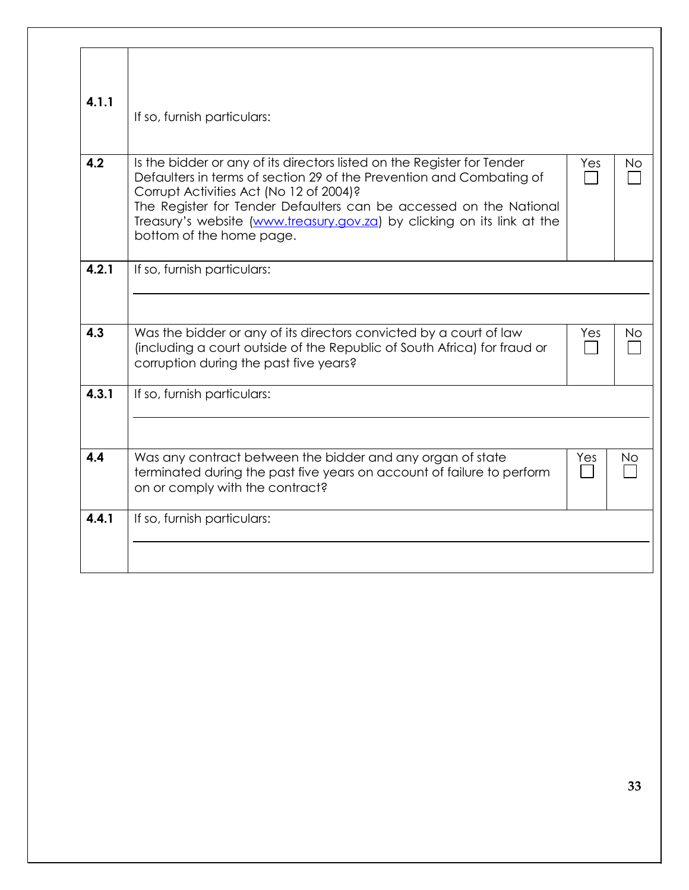| 4.1.1 | If so, furnish particulars:                                                                                                                                                                                                                                                                                                                                             |     |           |
|-------|-------------------------------------------------------------------------------------------------------------------------------------------------------------------------------------------------------------------------------------------------------------------------------------------------------------------------------------------------------------------------|-----|-----------|
| 4.2   | Is the bidder or any of its directors listed on the Register for Tender<br>Defaulters in terms of section 29 of the Prevention and Combating of<br>Corrupt Activities Act (No 12 of 2004)?<br>The Register for Tender Defaulters can be accessed on the National<br>Treasury's website (www.treasury.gov.za) by clicking on its link at the<br>bottom of the home page. | Yes | <b>No</b> |
| 4.2.1 | If so, furnish particulars:                                                                                                                                                                                                                                                                                                                                             |     |           |
| 4.3   | Was the bidder or any of its directors convicted by a court of law<br>(including a court outside of the Republic of South Africa) for fraud or<br>corruption during the past five years?                                                                                                                                                                                | Yes | No        |
| 4.3.1 | If so, furnish particulars:                                                                                                                                                                                                                                                                                                                                             |     |           |
| 4.4   | Was any contract between the bidder and any organ of state<br>terminated during the past five years on account of failure to perform<br>on or comply with the contract?                                                                                                                                                                                                 | Yes | No        |
| 4.4.1 | If so, furnish particulars:                                                                                                                                                                                                                                                                                                                                             |     |           |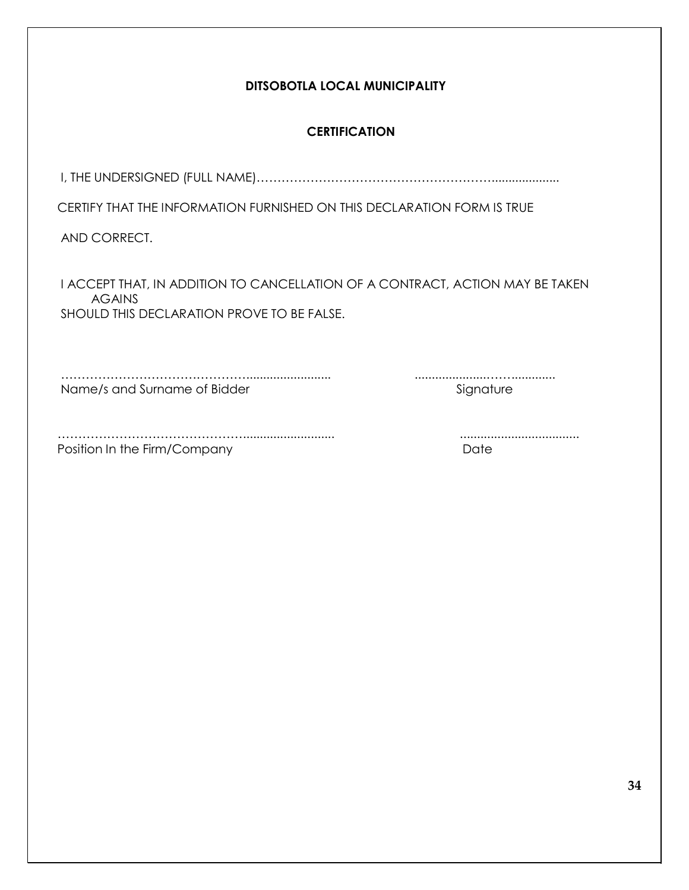| DITSOBOTLA LOCAL MUNICIPALITY                                                                                                                |               |  |
|----------------------------------------------------------------------------------------------------------------------------------------------|---------------|--|
| <b>CERTIFICATION</b>                                                                                                                         |               |  |
|                                                                                                                                              |               |  |
| CERTIFY THAT THE INFORMATION FURNISHED ON THIS DECLARATION FORM IS TRUE                                                                      |               |  |
| AND CORRECT.                                                                                                                                 |               |  |
| I ACCEPT THAT, IN ADDITION TO CANCELLATION OF A CONTRACT, ACTION MAY BE TAKEN<br><b>AGAINS</b><br>SHOULD THIS DECLARATION PROVE TO BE FALSE. |               |  |
| Name/s and Surname of Bidder                                                                                                                 | <br>Signature |  |
| Position In the Firm/Company                                                                                                                 | Date          |  |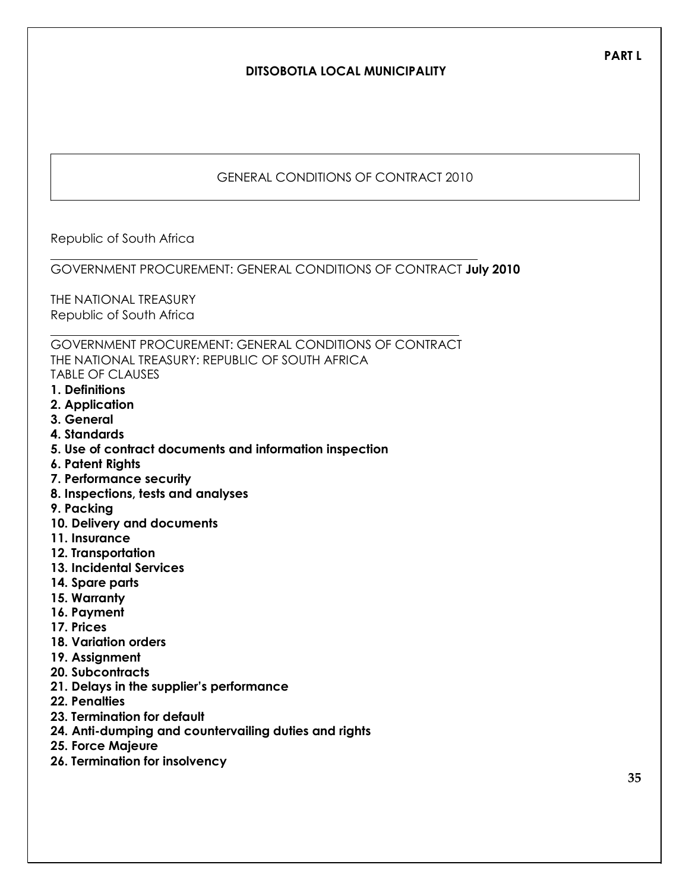# **DITSOBOTLA LOCAL MUNICIPALITY**

## GENERAL CONDITIONS OF CONTRACT 2010

Republic of South Africa

#### GOVERNMENT PROCUREMENT: GENERAL CONDITIONS OF CONTRACT **July 2010**

THE NATIONAL TREASURY Republic of South Africa

GOVERNMENT PROCUREMENT: GENERAL CONDITIONS OF CONTRACT THE NATIONAL TREASURY: REPUBLIC OF SOUTH AFRICA TABLE OF CLAUSES

- **1. Definitions**
- **2. Application**
- **3. General**
- **4. Standards**
- **5. Use of contract documents and information inspection**
- **6. Patent Rights**
- **7. Performance security**
- **8. Inspections, tests and analyses**
- **9. Packing**
- **10. Delivery and documents**
- **11. Insurance**
- **12. Transportation**
- **13. Incidental Services**
- **14. Spare parts**
- **15. Warranty**
- **16. Payment**
- **17. Prices**
- **18. Variation orders**
- **19. Assignment**
- **20. Subcontracts**
- **21. Delays in the supplier's performance**
- **22. Penalties**
- **23. Termination for default**
- **24. Anti-dumping and countervailing duties and rights**
- **25. Force Majeure**
- **26. Termination for insolvency**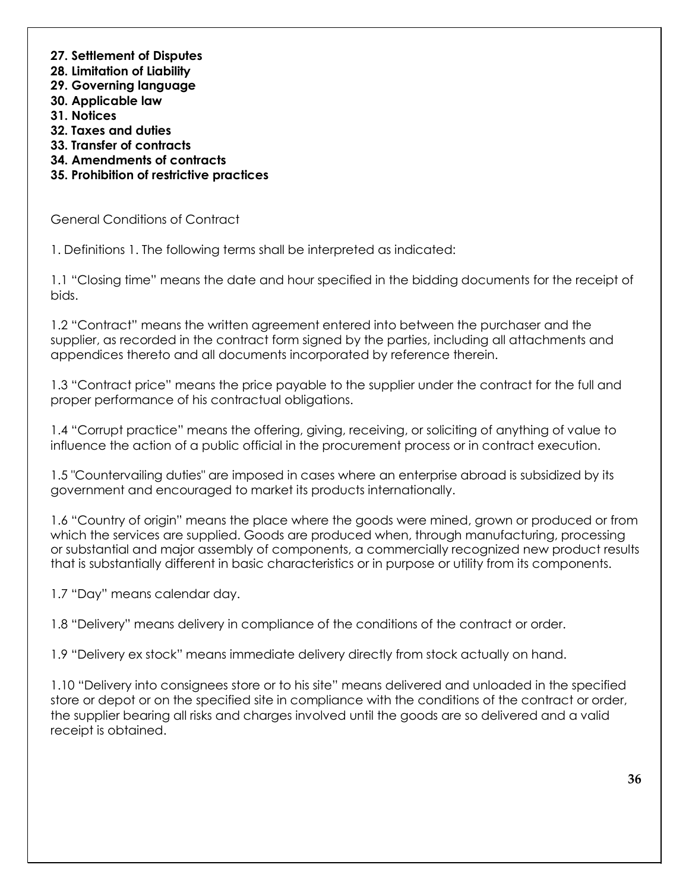- **27. Settlement of Disputes**
- **28. Limitation of Liability**
- **29. Governing language**
- **30. Applicable law**
- **31. Notices**
- **32. Taxes and duties**
- **33. Transfer of contracts**
- **34. Amendments of contracts**
- **35. Prohibition of restrictive practices**

General Conditions of Contract

1. Definitions 1. The following terms shall be interpreted as indicated:

1.1 "Closing time" means the date and hour specified in the bidding documents for the receipt of bids.

1.2 "Contract" means the written agreement entered into between the purchaser and the supplier, as recorded in the contract form signed by the parties, including all attachments and appendices thereto and all documents incorporated by reference therein.

1.3 "Contract price" means the price payable to the supplier under the contract for the full and proper performance of his contractual obligations.

1.4 "Corrupt practice" means the offering, giving, receiving, or soliciting of anything of value to influence the action of a public official in the procurement process or in contract execution.

1.5 "Countervailing duties" are imposed in cases where an enterprise abroad is subsidized by its government and encouraged to market its products internationally.

1.6 "Country of origin" means the place where the goods were mined, grown or produced or from which the services are supplied. Goods are produced when, through manufacturing, processing or substantial and major assembly of components, a commercially recognized new product results that is substantially different in basic characteristics or in purpose or utility from its components.

1.7 "Day" means calendar day.

1.8 "Delivery" means delivery in compliance of the conditions of the contract or order.

1.9 "Delivery ex stock" means immediate delivery directly from stock actually on hand.

1.10 "Delivery into consignees store or to his site" means delivered and unloaded in the specified store or depot or on the specified site in compliance with the conditions of the contract or order, the supplier bearing all risks and charges involved until the goods are so delivered and a valid receipt is obtained.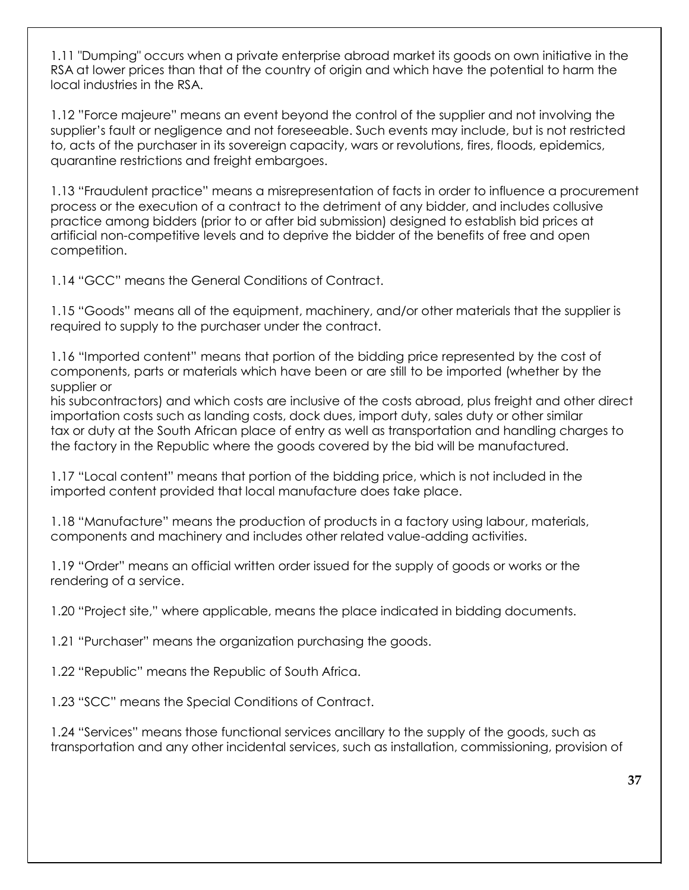1.11 "Dumping" occurs when a private enterprise abroad market its goods on own initiative in the RSA at lower prices than that of the country of origin and which have the potential to harm the local industries in the RSA.

1.12 "Force majeure" means an event beyond the control of the supplier and not involving the supplier's fault or negligence and not foreseeable. Such events may include, but is not restricted to, acts of the purchaser in its sovereign capacity, wars or revolutions, fires, floods, epidemics, quarantine restrictions and freight embargoes.

1.13 "Fraudulent practice" means a misrepresentation of facts in order to influence a procurement process or the execution of a contract to the detriment of any bidder, and includes collusive practice among bidders (prior to or after bid submission) designed to establish bid prices at artificial non-competitive levels and to deprive the bidder of the benefits of free and open competition.

1.14 "GCC" means the General Conditions of Contract.

1.15 "Goods" means all of the equipment, machinery, and/or other materials that the supplier is required to supply to the purchaser under the contract.

1.16 "Imported content" means that portion of the bidding price represented by the cost of components, parts or materials which have been or are still to be imported (whether by the supplier or

his subcontractors) and which costs are inclusive of the costs abroad, plus freight and other direct importation costs such as landing costs, dock dues, import duty, sales duty or other similar tax or duty at the South African place of entry as well as transportation and handling charges to the factory in the Republic where the goods covered by the bid will be manufactured.

1.17 "Local content" means that portion of the bidding price, which is not included in the imported content provided that local manufacture does take place.

1.18 "Manufacture" means the production of products in a factory using labour, materials, components and machinery and includes other related value-adding activities.

1.19 "Order" means an official written order issued for the supply of goods or works or the rendering of a service.

1.20 "Project site," where applicable, means the place indicated in bidding documents.

1.21 "Purchaser" means the organization purchasing the goods.

1.22 "Republic" means the Republic of South Africa.

1.23 "SCC" means the Special Conditions of Contract.

1.24 "Services" means those functional services ancillary to the supply of the goods, such as transportation and any other incidental services, such as installation, commissioning, provision of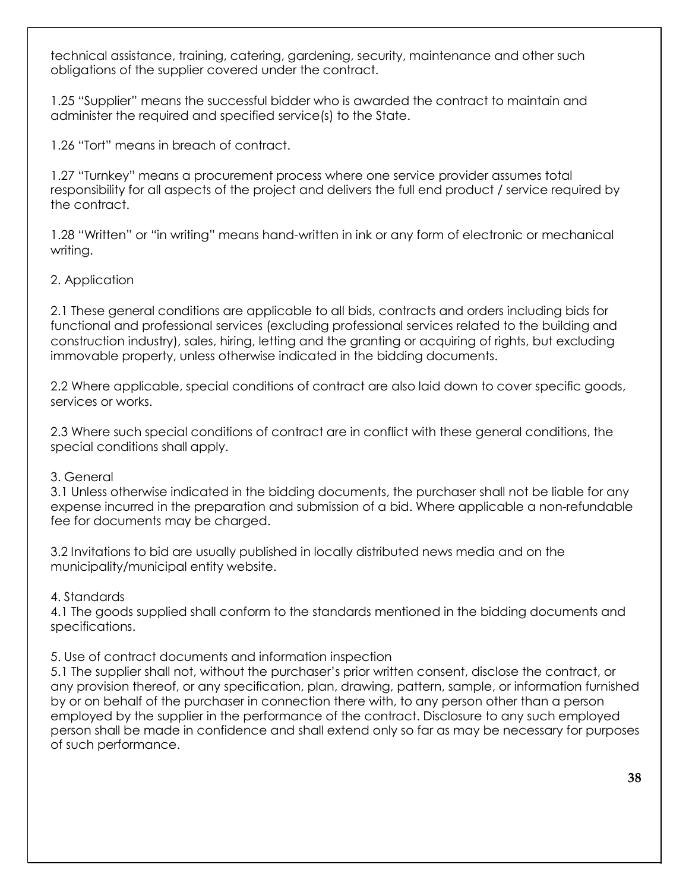technical assistance, training, catering, gardening, security, maintenance and other such obligations of the supplier covered under the contract.

1.25 "Supplier" means the successful bidder who is awarded the contract to maintain and administer the required and specified service(s) to the State.

1.26 "Tort" means in breach of contract.

1.27 "Turnkey" means a procurement process where one service provider assumes total responsibility for all aspects of the project and delivers the full end product / service required by the contract.

1.28 "Written" or "in writing" means hand-written in ink or any form of electronic or mechanical writing.

# 2. Application

2.1 These general conditions are applicable to all bids, contracts and orders including bids for functional and professional services (excluding professional services related to the building and construction industry), sales, hiring, letting and the granting or acquiring of rights, but excluding immovable property, unless otherwise indicated in the bidding documents.

2.2 Where applicable, special conditions of contract are also laid down to cover specific goods, services or works.

2.3 Where such special conditions of contract are in conflict with these general conditions, the special conditions shall apply.

## 3. General

3.1 Unless otherwise indicated in the bidding documents, the purchaser shall not be liable for any expense incurred in the preparation and submission of a bid. Where applicable a non-refundable fee for documents may be charged.

3.2 Invitations to bid are usually published in locally distributed news media and on the municipality/municipal entity website.

## 4. Standards

4.1 The goods supplied shall conform to the standards mentioned in the bidding documents and specifications.

## 5. Use of contract documents and information inspection

5.1 The supplier shall not, without the purchaser's prior written consent, disclose the contract, or any provision thereof, or any specification, plan, drawing, pattern, sample, or information furnished by or on behalf of the purchaser in connection there with, to any person other than a person employed by the supplier in the performance of the contract. Disclosure to any such employed person shall be made in confidence and shall extend only so far as may be necessary for purposes of such performance.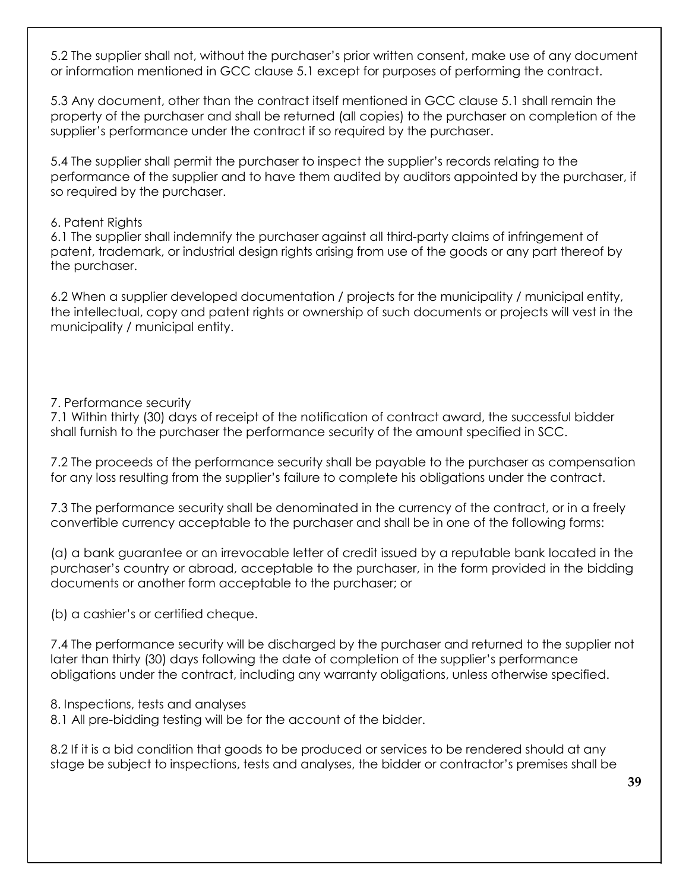5.2 The supplier shall not, without the purchaser's prior written consent, make use of any document or information mentioned in GCC clause 5.1 except for purposes of performing the contract.

5.3 Any document, other than the contract itself mentioned in GCC clause 5.1 shall remain the property of the purchaser and shall be returned (all copies) to the purchaser on completion of the supplier's performance under the contract if so required by the purchaser.

5.4 The supplier shall permit the purchaser to inspect the supplier's records relating to the performance of the supplier and to have them audited by auditors appointed by the purchaser, if so required by the purchaser.

## 6. Patent Rights

6.1 The supplier shall indemnify the purchaser against all third-party claims of infringement of patent, trademark, or industrial design rights arising from use of the goods or any part thereof by the purchaser.

6.2 When a supplier developed documentation / projects for the municipality / municipal entity, the intellectual, copy and patent rights or ownership of such documents or projects will vest in the municipality / municipal entity.

## 7. Performance security

7.1 Within thirty (30) days of receipt of the notification of contract award, the successful bidder shall furnish to the purchaser the performance security of the amount specified in SCC.

7.2 The proceeds of the performance security shall be payable to the purchaser as compensation for any loss resulting from the supplier's failure to complete his obligations under the contract.

7.3 The performance security shall be denominated in the currency of the contract, or in a freely convertible currency acceptable to the purchaser and shall be in one of the following forms:

(a) a bank guarantee or an irrevocable letter of credit issued by a reputable bank located in the purchaser's country or abroad, acceptable to the purchaser, in the form provided in the bidding documents or another form acceptable to the purchaser; or

(b) a cashier's or certified cheque.

7.4 The performance security will be discharged by the purchaser and returned to the supplier not later than thirty (30) days following the date of completion of the supplier's performance obligations under the contract, including any warranty obligations, unless otherwise specified.

8. Inspections, tests and analyses

8.1 All pre-bidding testing will be for the account of the bidder.

8.2 If it is a bid condition that goods to be produced or services to be rendered should at any stage be subject to inspections, tests and analyses, the bidder or contractor's premises shall be

**39**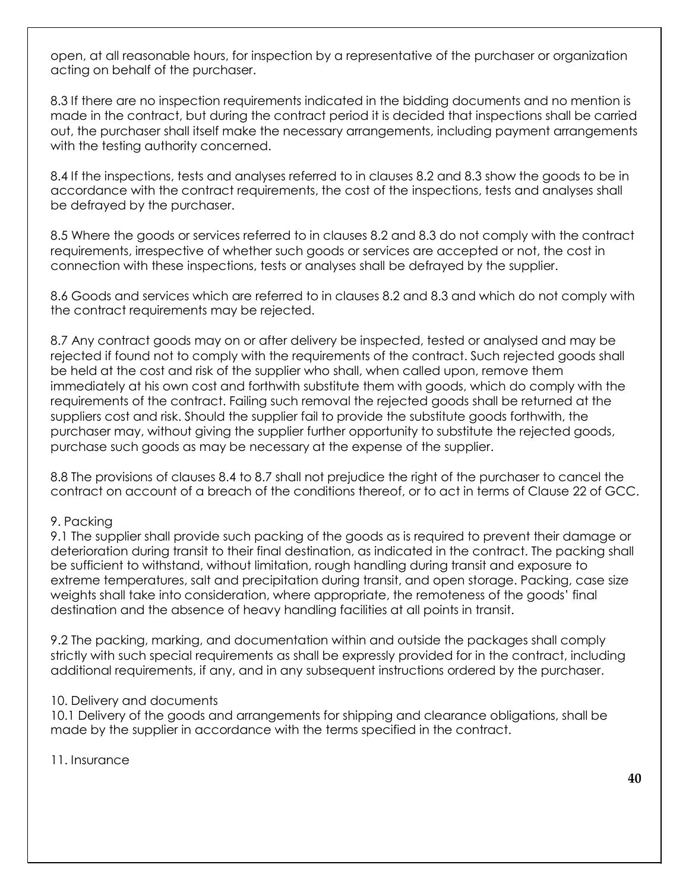open, at all reasonable hours, for inspection by a representative of the purchaser or organization acting on behalf of the purchaser.

8.3 If there are no inspection requirements indicated in the bidding documents and no mention is made in the contract, but during the contract period it is decided that inspections shall be carried out, the purchaser shall itself make the necessary arrangements, including payment arrangements with the testing authority concerned.

8.4 If the inspections, tests and analyses referred to in clauses 8.2 and 8.3 show the goods to be in accordance with the contract requirements, the cost of the inspections, tests and analyses shall be defrayed by the purchaser.

8.5 Where the goods or services referred to in clauses 8.2 and 8.3 do not comply with the contract requirements, irrespective of whether such goods or services are accepted or not, the cost in connection with these inspections, tests or analyses shall be defrayed by the supplier.

8.6 Goods and services which are referred to in clauses 8.2 and 8.3 and which do not comply with the contract requirements may be rejected.

8.7 Any contract goods may on or after delivery be inspected, tested or analysed and may be rejected if found not to comply with the requirements of the contract. Such rejected goods shall be held at the cost and risk of the supplier who shall, when called upon, remove them immediately at his own cost and forthwith substitute them with goods, which do comply with the requirements of the contract. Failing such removal the rejected goods shall be returned at the suppliers cost and risk. Should the supplier fail to provide the substitute goods forthwith, the purchaser may, without giving the supplier further opportunity to substitute the rejected goods, purchase such goods as may be necessary at the expense of the supplier.

8.8 The provisions of clauses 8.4 to 8.7 shall not prejudice the right of the purchaser to cancel the contract on account of a breach of the conditions thereof, or to act in terms of Clause 22 of GCC.

## 9. Packing

9.1 The supplier shall provide such packing of the goods as is required to prevent their damage or deterioration during transit to their final destination, as indicated in the contract. The packing shall be sufficient to withstand, without limitation, rough handling during transit and exposure to extreme temperatures, salt and precipitation during transit, and open storage. Packing, case size weights shall take into consideration, where appropriate, the remoteness of the goods' final destination and the absence of heavy handling facilities at all points in transit.

9.2 The packing, marking, and documentation within and outside the packages shall comply strictly with such special requirements as shall be expressly provided for in the contract, including additional requirements, if any, and in any subsequent instructions ordered by the purchaser.

#### 10. Delivery and documents

10.1 Delivery of the goods and arrangements for shipping and clearance obligations, shall be made by the supplier in accordance with the terms specified in the contract.

11. Insurance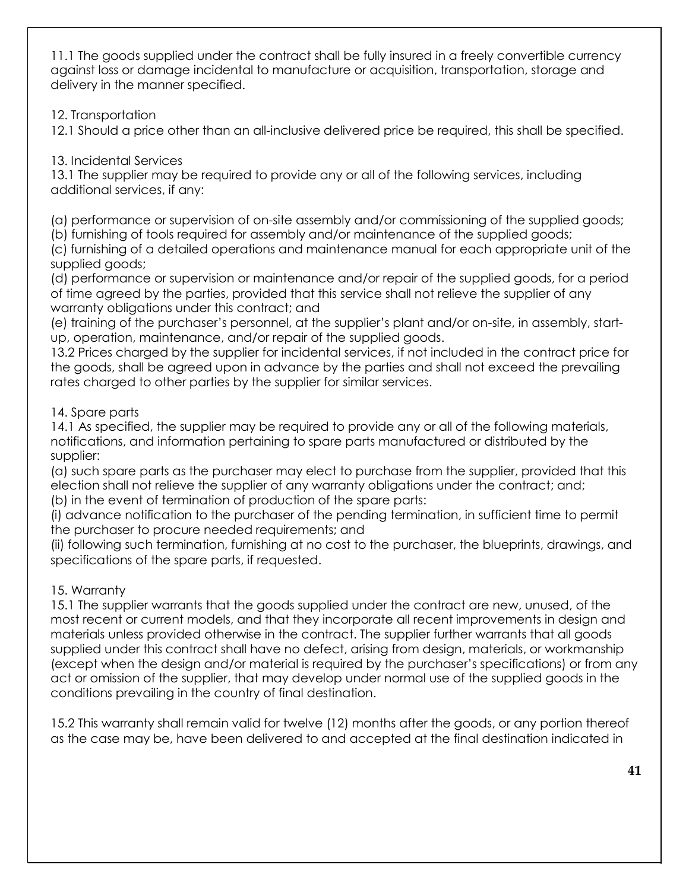11.1 The goods supplied under the contract shall be fully insured in a freely convertible currency against loss or damage incidental to manufacture or acquisition, transportation, storage and delivery in the manner specified.

12. Transportation

12.1 Should a price other than an all-inclusive delivered price be required, this shall be specified.

# 13. Incidental Services

13.1 The supplier may be required to provide any or all of the following services, including additional services, if any:

(a) performance or supervision of on-site assembly and/or commissioning of the supplied goods;

(b) furnishing of tools required for assembly and/or maintenance of the supplied goods;

(c) furnishing of a detailed operations and maintenance manual for each appropriate unit of the supplied goods;

(d) performance or supervision or maintenance and/or repair of the supplied goods, for a period of time agreed by the parties, provided that this service shall not relieve the supplier of any warranty obligations under this contract; and

(e) training of the purchaser's personnel, at the supplier's plant and/or on-site, in assembly, startup, operation, maintenance, and/or repair of the supplied goods.

13.2 Prices charged by the supplier for incidental services, if not included in the contract price for the goods, shall be agreed upon in advance by the parties and shall not exceed the prevailing rates charged to other parties by the supplier for similar services.

# 14. Spare parts

14.1 As specified, the supplier may be required to provide any or all of the following materials, notifications, and information pertaining to spare parts manufactured or distributed by the supplier:

(a) such spare parts as the purchaser may elect to purchase from the supplier, provided that this election shall not relieve the supplier of any warranty obligations under the contract; and; (b) in the event of termination of production of the spare parts:

(i) advance notification to the purchaser of the pending termination, in sufficient time to permit the purchaser to procure needed requirements; and

(ii) following such termination, furnishing at no cost to the purchaser, the blueprints, drawings, and specifications of the spare parts, if requested.

# 15. Warranty

15.1 The supplier warrants that the goods supplied under the contract are new, unused, of the most recent or current models, and that they incorporate all recent improvements in design and materials unless provided otherwise in the contract. The supplier further warrants that all goods supplied under this contract shall have no defect, arising from design, materials, or workmanship (except when the design and/or material is required by the purchaser's specifications) or from any act or omission of the supplier, that may develop under normal use of the supplied goods in the conditions prevailing in the country of final destination.

15.2 This warranty shall remain valid for twelve (12) months after the goods, or any portion thereof as the case may be, have been delivered to and accepted at the final destination indicated in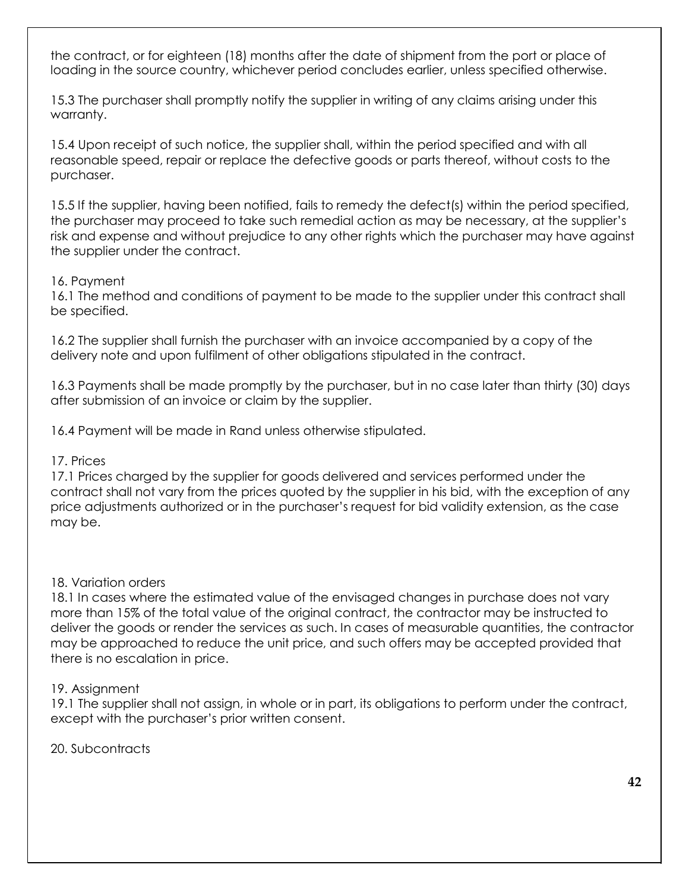the contract, or for eighteen (18) months after the date of shipment from the port or place of loading in the source country, whichever period concludes earlier, unless specified otherwise.

15.3 The purchaser shall promptly notify the supplier in writing of any claims arising under this warranty.

15.4 Upon receipt of such notice, the supplier shall, within the period specified and with all reasonable speed, repair or replace the defective goods or parts thereof, without costs to the purchaser.

15.5 If the supplier, having been notified, fails to remedy the defect(s) within the period specified, the purchaser may proceed to take such remedial action as may be necessary, at the supplier's risk and expense and without prejudice to any other rights which the purchaser may have against the supplier under the contract.

## 16. Payment

16.1 The method and conditions of payment to be made to the supplier under this contract shall be specified.

16.2 The supplier shall furnish the purchaser with an invoice accompanied by a copy of the delivery note and upon fulfilment of other obligations stipulated in the contract.

16.3 Payments shall be made promptly by the purchaser, but in no case later than thirty (30) days after submission of an invoice or claim by the supplier.

16.4 Payment will be made in Rand unless otherwise stipulated.

## 17. Prices

17.1 Prices charged by the supplier for goods delivered and services performed under the contract shall not vary from the prices quoted by the supplier in his bid, with the exception of any price adjustments authorized or in the purchaser's request for bid validity extension, as the case may be.

## 18. Variation orders

18.1 In cases where the estimated value of the envisaged changes in purchase does not vary more than 15% of the total value of the original contract, the contractor may be instructed to deliver the goods or render the services as such. In cases of measurable quantities, the contractor may be approached to reduce the unit price, and such offers may be accepted provided that there is no escalation in price.

## 19. Assignment

19.1 The supplier shall not assign, in whole or in part, its obligations to perform under the contract, except with the purchaser's prior written consent.

20. Subcontracts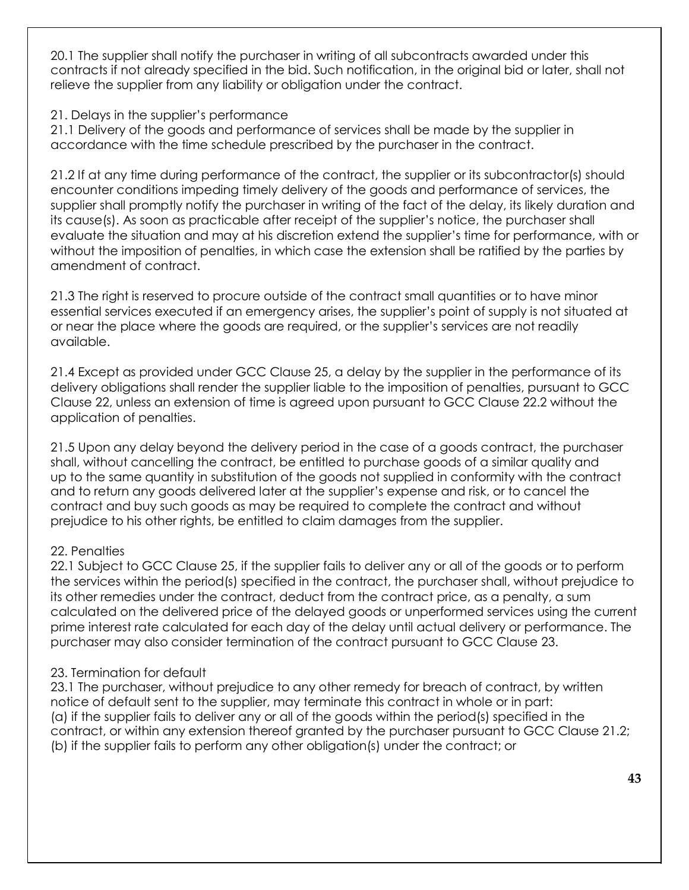20.1 The supplier shall notify the purchaser in writing of all subcontracts awarded under this contracts if not already specified in the bid. Such notification, in the original bid or later, shall not relieve the supplier from any liability or obligation under the contract.

21. Delays in the supplier's performance

21.1 Delivery of the goods and performance of services shall be made by the supplier in accordance with the time schedule prescribed by the purchaser in the contract.

21.2 If at any time during performance of the contract, the supplier or its subcontractor(s) should encounter conditions impeding timely delivery of the goods and performance of services, the supplier shall promptly notify the purchaser in writing of the fact of the delay, its likely duration and its cause(s). As soon as practicable after receipt of the supplier's notice, the purchaser shall evaluate the situation and may at his discretion extend the supplier's time for performance, with or without the imposition of penalties, in which case the extension shall be ratified by the parties by amendment of contract.

21.3 The right is reserved to procure outside of the contract small quantities or to have minor essential services executed if an emergency arises, the supplier's point of supply is not situated at or near the place where the goods are required, or the supplier's services are not readily available.

21.4 Except as provided under GCC Clause 25, a delay by the supplier in the performance of its delivery obligations shall render the supplier liable to the imposition of penalties, pursuant to GCC Clause 22, unless an extension of time is agreed upon pursuant to GCC Clause 22.2 without the application of penalties.

21.5 Upon any delay beyond the delivery period in the case of a goods contract, the purchaser shall, without cancelling the contract, be entitled to purchase goods of a similar quality and up to the same quantity in substitution of the goods not supplied in conformity with the contract and to return any goods delivered later at the supplier's expense and risk, or to cancel the contract and buy such goods as may be required to complete the contract and without prejudice to his other rights, be entitled to claim damages from the supplier.

# 22. Penalties

22.1 Subject to GCC Clause 25, if the supplier fails to deliver any or all of the goods or to perform the services within the period(s) specified in the contract, the purchaser shall, without prejudice to its other remedies under the contract, deduct from the contract price, as a penalty, a sum calculated on the delivered price of the delayed goods or unperformed services using the current prime interest rate calculated for each day of the delay until actual delivery or performance. The purchaser may also consider termination of the contract pursuant to GCC Clause 23.

# 23. Termination for default

23.1 The purchaser, without prejudice to any other remedy for breach of contract, by written notice of default sent to the supplier, may terminate this contract in whole or in part: (a) if the supplier fails to deliver any or all of the goods within the period(s) specified in the contract, or within any extension thereof granted by the purchaser pursuant to GCC Clause 21.2; (b) if the supplier fails to perform any other obligation(s) under the contract; or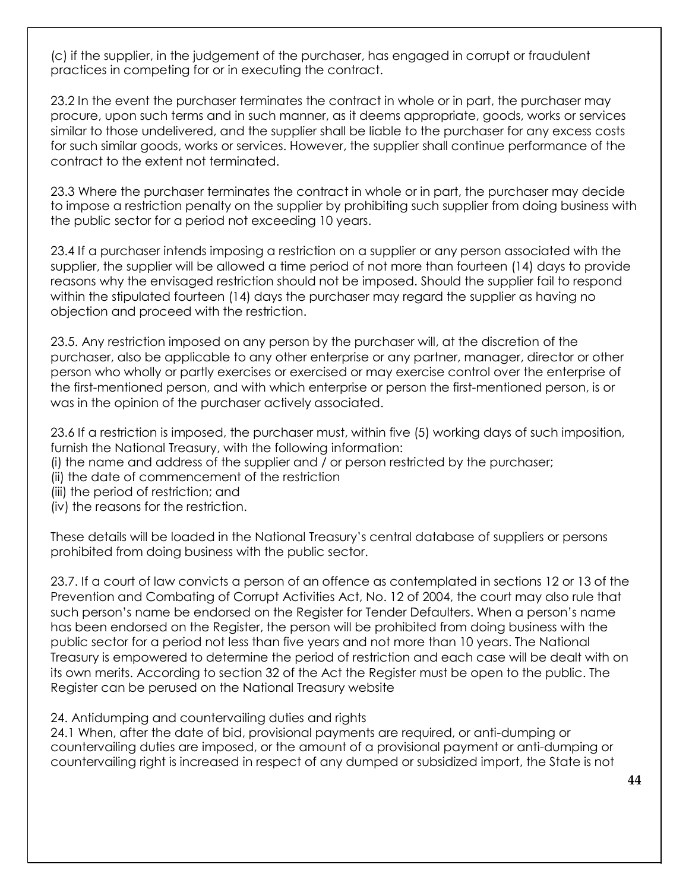(c) if the supplier, in the judgement of the purchaser, has engaged in corrupt or fraudulent practices in competing for or in executing the contract.

23.2 In the event the purchaser terminates the contract in whole or in part, the purchaser may procure, upon such terms and in such manner, as it deems appropriate, goods, works or services similar to those undelivered, and the supplier shall be liable to the purchaser for any excess costs for such similar goods, works or services. However, the supplier shall continue performance of the contract to the extent not terminated.

23.3 Where the purchaser terminates the contract in whole or in part, the purchaser may decide to impose a restriction penalty on the supplier by prohibiting such supplier from doing business with the public sector for a period not exceeding 10 years.

23.4 If a purchaser intends imposing a restriction on a supplier or any person associated with the supplier, the supplier will be allowed a time period of not more than fourteen (14) days to provide reasons why the envisaged restriction should not be imposed. Should the supplier fail to respond within the stipulated fourteen (14) days the purchaser may regard the supplier as having no objection and proceed with the restriction.

23.5. Any restriction imposed on any person by the purchaser will, at the discretion of the purchaser, also be applicable to any other enterprise or any partner, manager, director or other person who wholly or partly exercises or exercised or may exercise control over the enterprise of the first-mentioned person, and with which enterprise or person the first-mentioned person, is or was in the opinion of the purchaser actively associated.

23.6 If a restriction is imposed, the purchaser must, within five (5) working days of such imposition, furnish the National Treasury, with the following information:

- (i) the name and address of the supplier and / or person restricted by the purchaser;
- (ii) the date of commencement of the restriction
- (iii) the period of restriction; and
- (iv) the reasons for the restriction.

These details will be loaded in the National Treasury's central database of suppliers or persons prohibited from doing business with the public sector.

23.7. If a court of law convicts a person of an offence as contemplated in sections 12 or 13 of the Prevention and Combating of Corrupt Activities Act, No. 12 of 2004, the court may also rule that such person's name be endorsed on the Register for Tender Defaulters. When a person's name has been endorsed on the Register, the person will be prohibited from doing business with the public sector for a period not less than five years and not more than 10 years. The National Treasury is empowered to determine the period of restriction and each case will be dealt with on its own merits. According to section 32 of the Act the Register must be open to the public. The Register can be perused on the National Treasury website

24. Antidumping and countervailing duties and rights

24.1 When, after the date of bid, provisional payments are required, or anti-dumping or countervailing duties are imposed, or the amount of a provisional payment or anti-dumping or countervailing right is increased in respect of any dumped or subsidized import, the State is not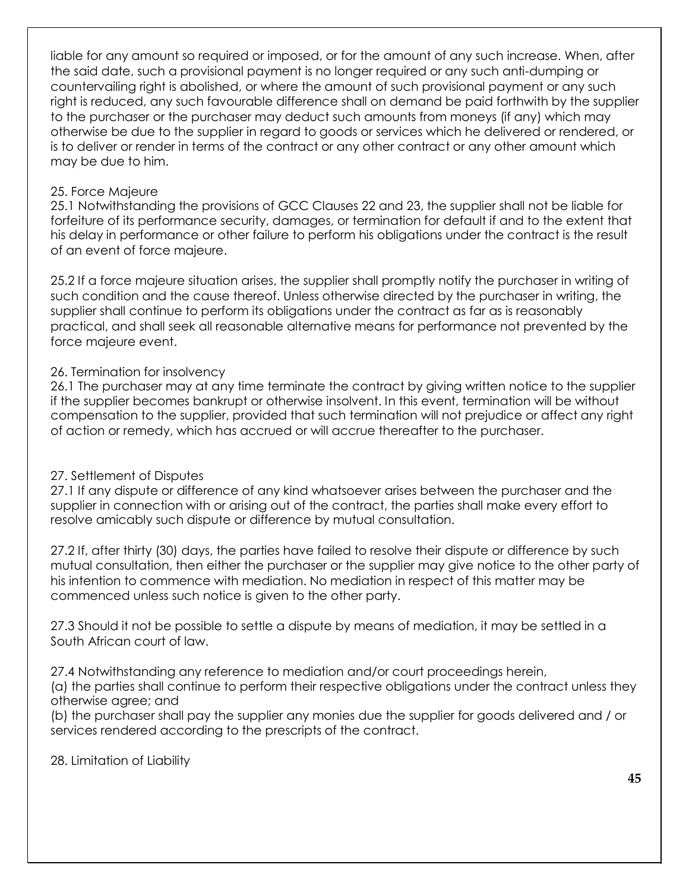liable for any amount so required or imposed, or for the amount of any such increase. When, after the said date, such a provisional payment is no longer required or any such anti-dumping or countervailing right is abolished, or where the amount of such provisional payment or any such right is reduced, any such favourable difference shall on demand be paid forthwith by the supplier to the purchaser or the purchaser may deduct such amounts from moneys (if any) which may otherwise be due to the supplier in regard to goods or services which he delivered or rendered, or is to deliver or render in terms of the contract or any other contract or any other amount which may be due to him.

## 25. Force Majeure

25.1 Notwithstanding the provisions of GCC Clauses 22 and 23, the supplier shall not be liable for forfeiture of its performance security, damages, or termination for default if and to the extent that his delay in performance or other failure to perform his obligations under the contract is the result of an event of force majeure.

25.2 If a force majeure situation arises, the supplier shall promptly notify the purchaser in writing of such condition and the cause thereof. Unless otherwise directed by the purchaser in writing, the supplier shall continue to perform its obligations under the contract as far as is reasonably practical, and shall seek all reasonable alternative means for performance not prevented by the force majeure event.

## 26. Termination for insolvency

26.1 The purchaser may at any time terminate the contract by giving written notice to the supplier if the supplier becomes bankrupt or otherwise insolvent. In this event, termination will be without compensation to the supplier, provided that such termination will not prejudice or affect any right of action or remedy, which has accrued or will accrue thereafter to the purchaser.

## 27. Settlement of Disputes

27.1 If any dispute or difference of any kind whatsoever arises between the purchaser and the supplier in connection with or arising out of the contract, the parties shall make every effort to resolve amicably such dispute or difference by mutual consultation.

27.2 If, after thirty (30) days, the parties have failed to resolve their dispute or difference by such mutual consultation, then either the purchaser or the supplier may give notice to the other party of his intention to commence with mediation. No mediation in respect of this matter may be commenced unless such notice is given to the other party.

27.3 Should it not be possible to settle a dispute by means of mediation, it may be settled in a South African court of law.

27.4 Notwithstanding any reference to mediation and/or court proceedings herein,

(a) the parties shall continue to perform their respective obligations under the contract unless they otherwise agree; and

(b) the purchaser shall pay the supplier any monies due the supplier for goods delivered and / or services rendered according to the prescripts of the contract.

28. Limitation of Liability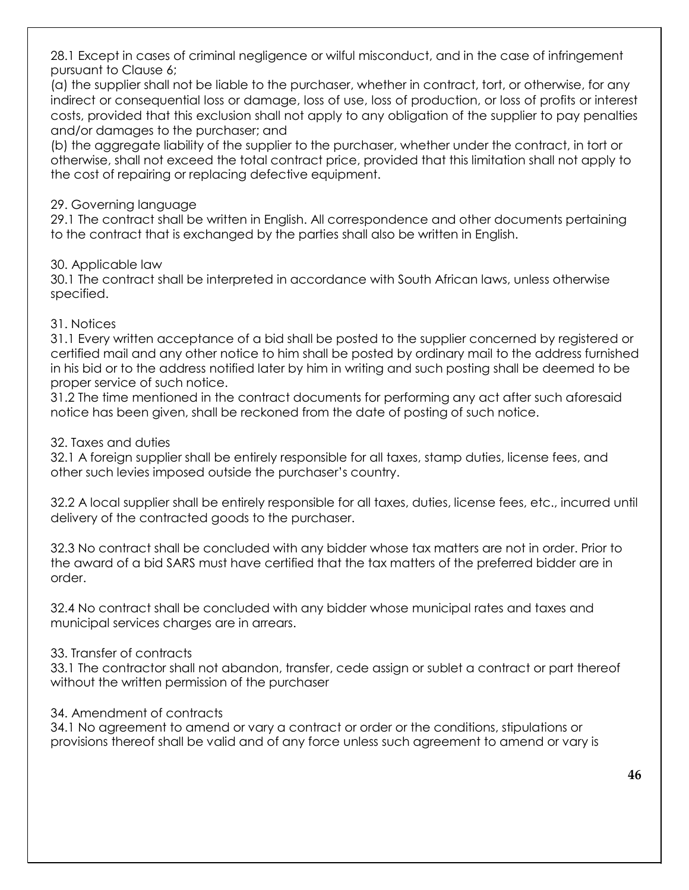28.1 Except in cases of criminal negligence or wilful misconduct, and in the case of infringement pursuant to Clause 6;

(a) the supplier shall not be liable to the purchaser, whether in contract, tort, or otherwise, for any indirect or consequential loss or damage, loss of use, loss of production, or loss of profits or interest costs, provided that this exclusion shall not apply to any obligation of the supplier to pay penalties and/or damages to the purchaser; and

(b) the aggregate liability of the supplier to the purchaser, whether under the contract, in tort or otherwise, shall not exceed the total contract price, provided that this limitation shall not apply to the cost of repairing or replacing defective equipment.

## 29. Governing language

29.1 The contract shall be written in English. All correspondence and other documents pertaining to the contract that is exchanged by the parties shall also be written in English.

## 30. Applicable law

30.1 The contract shall be interpreted in accordance with South African laws, unless otherwise specified.

## 31. Notices

31.1 Every written acceptance of a bid shall be posted to the supplier concerned by registered or certified mail and any other notice to him shall be posted by ordinary mail to the address furnished in his bid or to the address notified later by him in writing and such posting shall be deemed to be proper service of such notice.

31.2 The time mentioned in the contract documents for performing any act after such aforesaid notice has been given, shall be reckoned from the date of posting of such notice.

## 32. Taxes and duties

32.1 A foreign supplier shall be entirely responsible for all taxes, stamp duties, license fees, and other such levies imposed outside the purchaser's country.

32.2 A local supplier shall be entirely responsible for all taxes, duties, license fees, etc., incurred until delivery of the contracted goods to the purchaser.

32.3 No contract shall be concluded with any bidder whose tax matters are not in order. Prior to the award of a bid SARS must have certified that the tax matters of the preferred bidder are in order.

32.4 No contract shall be concluded with any bidder whose municipal rates and taxes and municipal services charges are in arrears.

# 33. Transfer of contracts

33.1 The contractor shall not abandon, transfer, cede assign or sublet a contract or part thereof without the written permission of the purchaser

## 34. Amendment of contracts

34.1 No agreement to amend or vary a contract or order or the conditions, stipulations or provisions thereof shall be valid and of any force unless such agreement to amend or vary is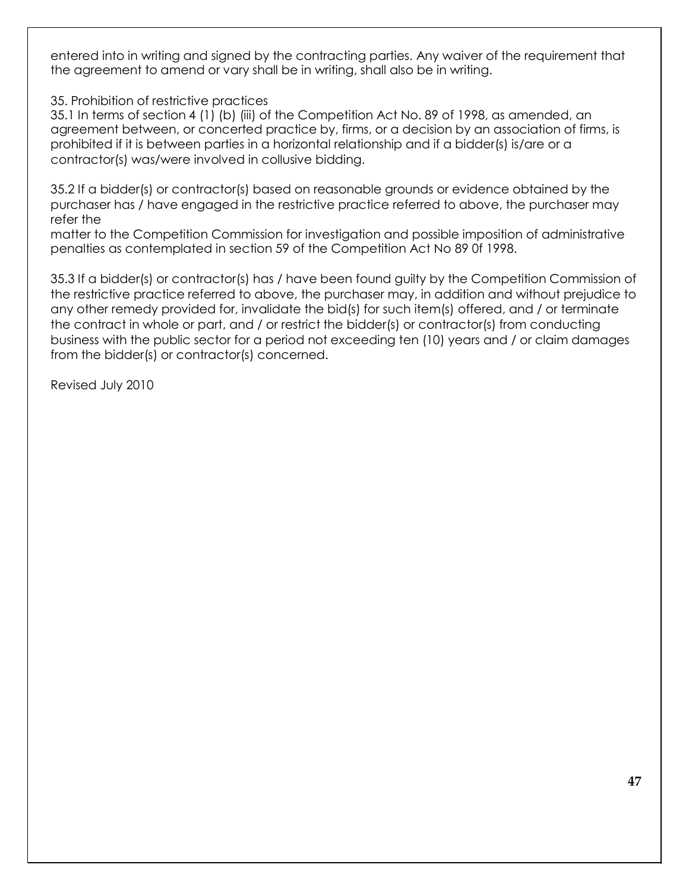entered into in writing and signed by the contracting parties. Any waiver of the requirement that the agreement to amend or vary shall be in writing, shall also be in writing.

35. Prohibition of restrictive practices

35.1 In terms of section 4 (1) (b) (iii) of the Competition Act No. 89 of 1998, as amended, an agreement between, or concerted practice by, firms, or a decision by an association of firms, is prohibited if it is between parties in a horizontal relationship and if a bidder(s) is/are or a contractor(s) was/were involved in collusive bidding.

35.2 If a bidder(s) or contractor(s) based on reasonable grounds or evidence obtained by the purchaser has / have engaged in the restrictive practice referred to above, the purchaser may refer the

matter to the Competition Commission for investigation and possible imposition of administrative penalties as contemplated in section 59 of the Competition Act No 89 0f 1998.

35.3 If a bidder(s) or contractor(s) has / have been found guilty by the Competition Commission of the restrictive practice referred to above, the purchaser may, in addition and without prejudice to any other remedy provided for, invalidate the bid(s) for such item(s) offered, and / or terminate the contract in whole or part, and / or restrict the bidder(s) or contractor(s) from conducting business with the public sector for a period not exceeding ten (10) years and / or claim damages from the bidder(s) or contractor(s) concerned.

Revised July 2010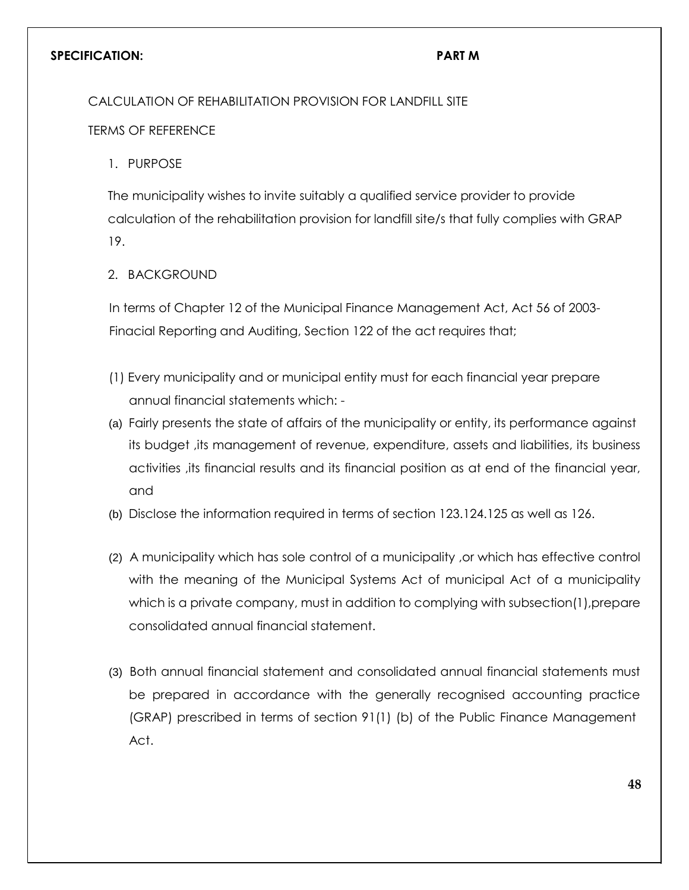## **SPECIFICATION: PART M**

CALCULATION OF REHABILITATION PROVISION FOR LANDFILL SITE

TERMS OF REFERENCE

1. PURPOSE

The municipality wishes to invite suitably a qualified service provider to provide calculation of the rehabilitation provision for landfill site/s that fully complies with GRAP 19.

## 2. BACKGROUND

In terms of Chapter 12 of the Municipal Finance Management Act, Act 56 of 2003- Finacial Reporting and Auditing, Section 122 of the act requires that;

- (1) Every municipality and or municipal entity must for each financial year prepare annual financial statements which: -
- (a) Fairly presents the state of affairs of the municipality or entity, its performance against its budget ,its management of revenue, expenditure, assets and liabilities, its business activities ,its financial results and its financial position as at end of the financial year, and
- (b) Disclose the information required in terms of section 123.124.125 as well as 126.
- (2) A municipality which has sole control of a municipality ,or which has effective control with the meaning of the Municipal Systems Act of municipal Act of a municipality which is a private company, must in addition to complying with subsection(1),prepare consolidated annual financial statement.
- (3) Both annual financial statement and consolidated annual financial statements must be prepared in accordance with the generally recognised accounting practice (GRAP) prescribed in terms of section 91(1) (b) of the Public Finance Management Act.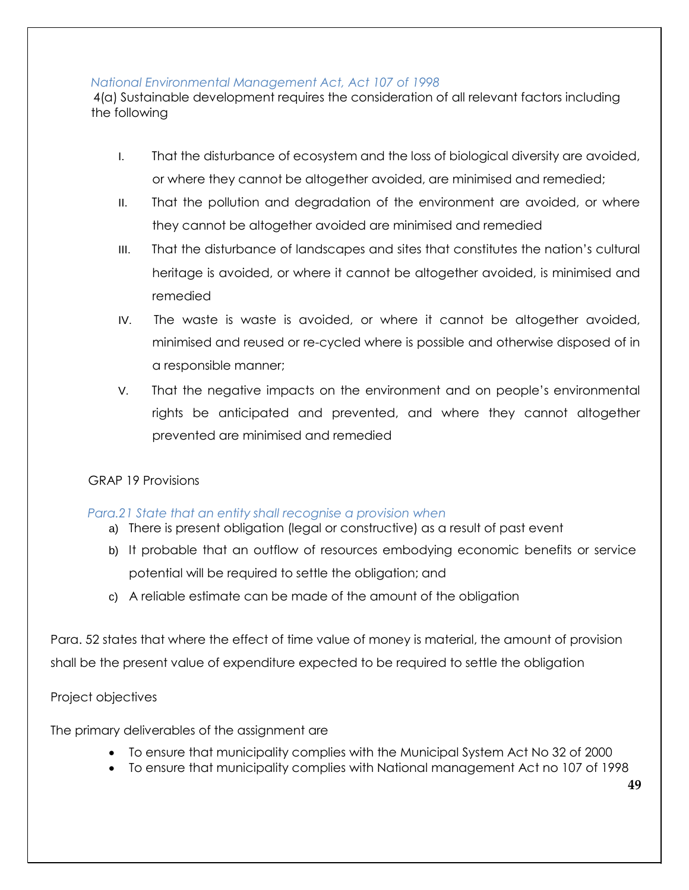## *National Environmental Management Act, Act 107 of 1998*

4(a) Sustainable development requires the consideration of all relevant factors including the following

- I. That the disturbance of ecosystem and the loss of biological diversity are avoided, or where they cannot be altogether avoided, are minimised and remedied;
- II. That the pollution and degradation of the environment are avoided, or where they cannot be altogether avoided are minimised and remedied
- III. That the disturbance of landscapes and sites that constitutes the nation's cultural heritage is avoided, or where it cannot be altogether avoided, is minimised and remedied
- IV. The waste is waste is avoided, or where it cannot be altogether avoided, minimised and reused or re-cycled where is possible and otherwise disposed of in a responsible manner;
- V. That the negative impacts on the environment and on people's environmental rights be anticipated and prevented, and where they cannot altogether prevented are minimised and remedied

# GRAP 19 Provisions

# *Para.21 State that an entity shall recognise a provision when*

- a) There is present obligation (legal or constructive) as a result of past event
- b) It probable that an outflow of resources embodying economic benefits or service potential will be required to settle the obligation; and
- c) A reliable estimate can be made of the amount of the obligation

Para. 52 states that where the effect of time value of money is material, the amount of provision shall be the present value of expenditure expected to be required to settle the obligation

# Project objectives

The primary deliverables of the assignment are

- To ensure that municipality complies with the Municipal System Act No 32 of 2000
- To ensure that municipality complies with National management Act no 107 of 1998

**49**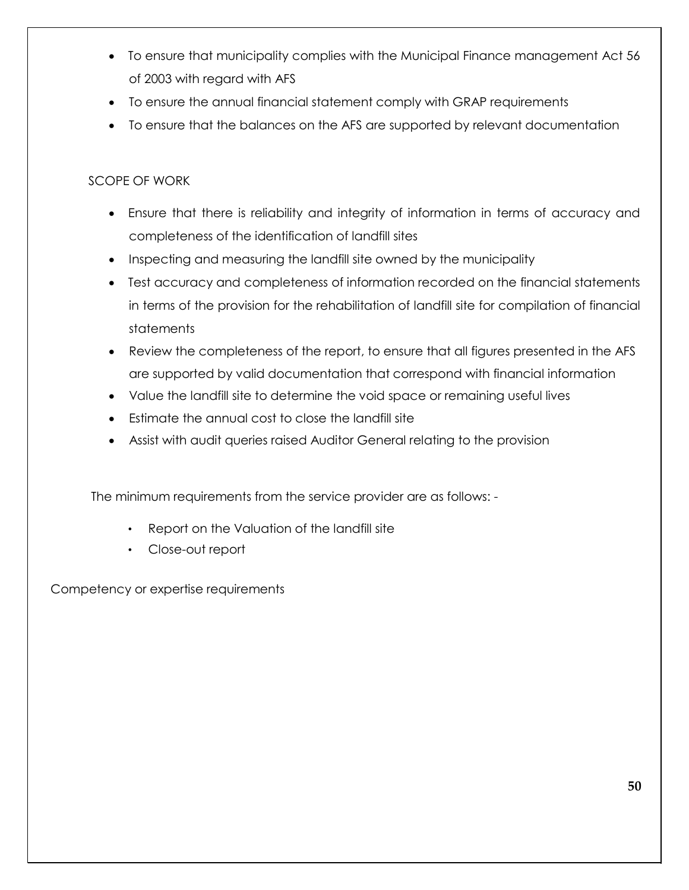- To ensure that municipality complies with the Municipal Finance management Act 56 of 2003 with regard with AFS
- To ensure the annual financial statement comply with GRAP requirements
- To ensure that the balances on the AFS are supported by relevant documentation

# SCOPE OF WORK

- Ensure that there is reliability and integrity of information in terms of accuracy and completeness of the identification of landfill sites
- Inspecting and measuring the landfill site owned by the municipality
- Test accuracy and completeness of information recorded on the financial statements in terms of the provision for the rehabilitation of landfill site for compilation of financial statements
- Review the completeness of the report, to ensure that all figures presented in the AFS are supported by valid documentation that correspond with financial information
- Value the landfill site to determine the void space or remaining useful lives
- Estimate the annual cost to close the landfill site
- Assist with audit queries raised Auditor General relating to the provision

The minimum requirements from the service provider are as follows: -

- Report on the Valuation of the landfill site
- Close-out report

Competency or expertise requirements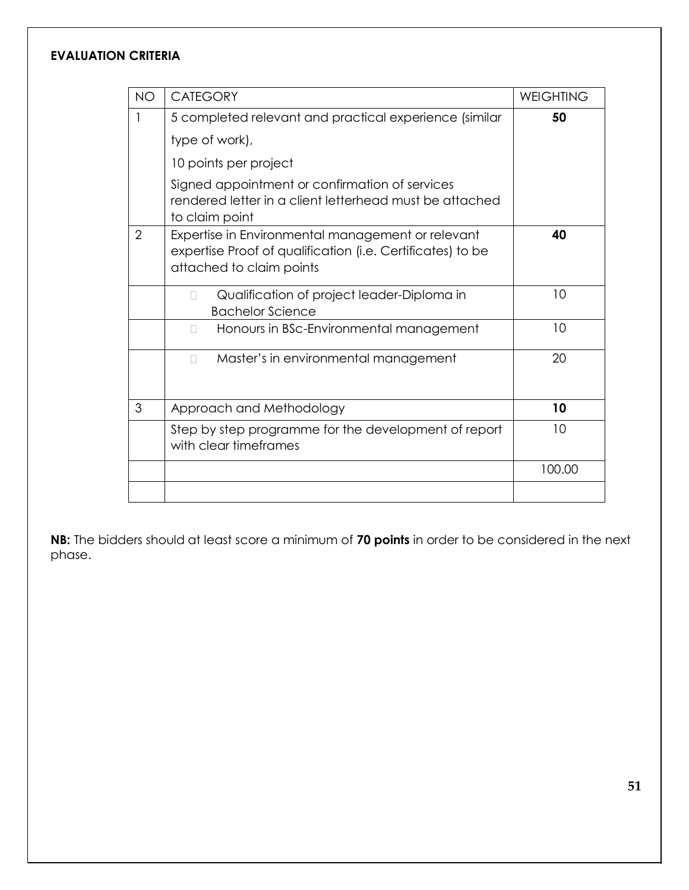# **EVALUATION CRITERIA**

| <b>NO</b>      | <b>CATEGORY</b>                                                                                                                             | <b>WEIGHTING</b> |
|----------------|---------------------------------------------------------------------------------------------------------------------------------------------|------------------|
| 1              | 5 completed relevant and practical experience (similar<br>type of work),                                                                    | 50               |
|                | 10 points per project                                                                                                                       |                  |
|                | Signed appointment or confirmation of services<br>rendered letter in a client letterhead must be attached<br>to claim point                 |                  |
| $\overline{2}$ | Expertise in Environmental management or relevant<br>expertise Proof of qualification (i.e. Certificates) to be<br>attached to claim points | 40               |
|                | Qualification of project leader-Diploma in<br>$\mathbb{R}^n$<br><b>Bachelor Science</b>                                                     | 10               |
|                | Honours in BSc-Environmental management<br>$\mathbb{R}^n$                                                                                   | 10               |
|                | Master's in environmental management                                                                                                        | 20               |
| 3              | Approach and Methodology                                                                                                                    | 10               |
|                | Step by step programme for the development of report<br>with clear timeframes                                                               | 10               |
|                |                                                                                                                                             | 100.00           |
|                |                                                                                                                                             |                  |

**NB:** The bidders should at least score a minimum of **70 points** in order to be considered in the next phase.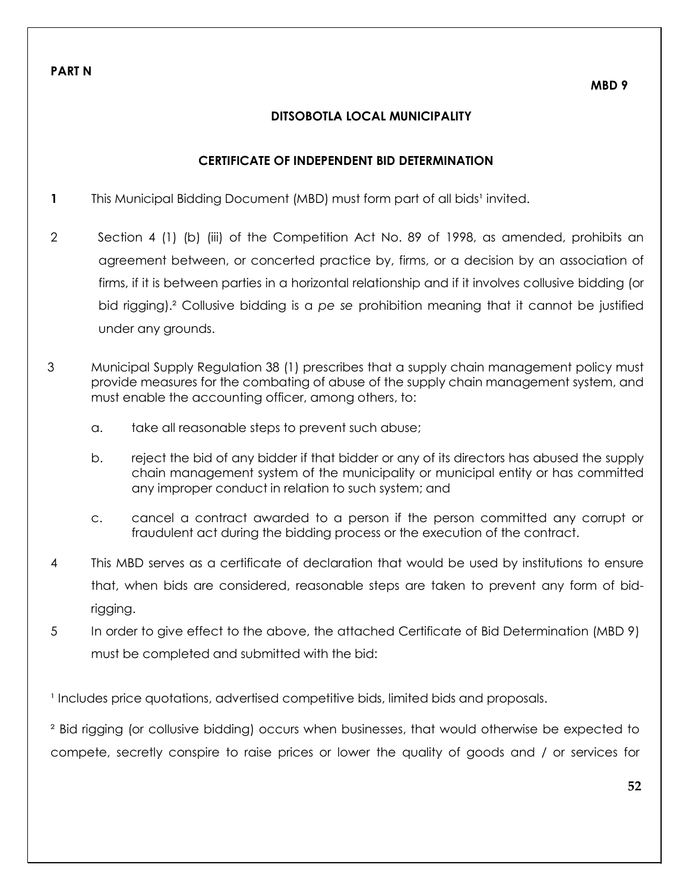## **DITSOBOTLA LOCAL MUNICIPALITY**

## **CERTIFICATE OF INDEPENDENT BID DETERMINATION**

- **1** This Municipal Bidding Document (MBD) must form part of all bids<sup>1</sup> invited.
- 2 Section 4 (1) (b) (iii) of the Competition Act No. 89 of 1998, as amended, prohibits an agreement between, or concerted practice by, firms, or a decision by an association of firms, if it is between parties in a horizontal relationship and if it involves collusive bidding (or bid rigging).² Collusive bidding is a *pe se* prohibition meaning that it cannot be justified under any grounds.
- 3 Municipal Supply Regulation 38 (1) prescribes that a supply chain management policy must provide measures for the combating of abuse of the supply chain management system, and must enable the accounting officer, among others, to:
	- a. take all reasonable steps to prevent such abuse;
	- b. reject the bid of any bidder if that bidder or any of its directors has abused the supply chain management system of the municipality or municipal entity or has committed any improper conduct in relation to such system; and
	- c. cancel a contract awarded to a person if the person committed any corrupt or fraudulent act during the bidding process or the execution of the contract.
- 4 This MBD serves as a certificate of declaration that would be used by institutions to ensure that, when bids are considered, reasonable steps are taken to prevent any form of bidrigging.
- 5 In order to give effect to the above, the attached Certificate of Bid Determination (MBD 9) must be completed and submitted with the bid:

<sup>1</sup> Includes price quotations, advertised competitive bids, limited bids and proposals.

² Bid rigging (or collusive bidding) occurs when businesses, that would otherwise be expected to compete, secretly conspire to raise prices or lower the quality of goods and / or services for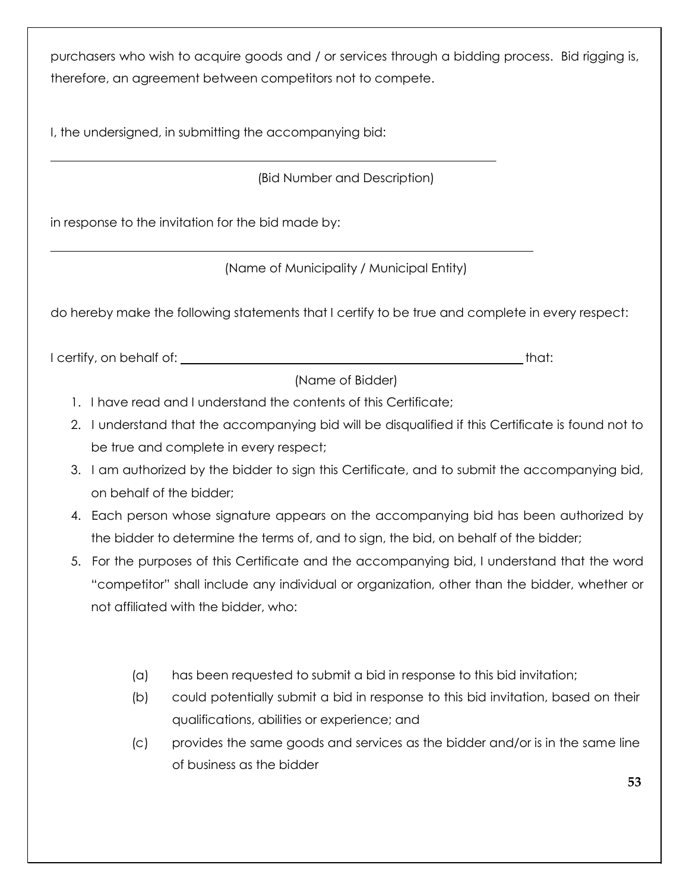purchasers who wish to acquire goods and / or services through a bidding process. Bid rigging is, therefore, an agreement between competitors not to compete.

I, the undersigned, in submitting the accompanying bid:

(Bid Number and Description)

in response to the invitation for the bid made by:

(Name of Municipality / Municipal Entity)

do hereby make the following statements that I certify to be true and complete in every respect:

I certify, on behalf of: <u>that:</u> that: that: that: that: that: that: that: that: that: that: that: that: that: that: that: that: that: that: that: that: that: that: that: that: that: that: that: that: that: that: that: tha

(Name of Bidder)

- 1. I have read and I understand the contents of this Certificate;
- 2. I understand that the accompanying bid will be disqualified if this Certificate is found not to be true and complete in every respect;
- 3. I am authorized by the bidder to sign this Certificate, and to submit the accompanying bid, on behalf of the bidder;
- 4. Each person whose signature appears on the accompanying bid has been authorized by the bidder to determine the terms of, and to sign, the bid, on behalf of the bidder;
- 5. For the purposes of this Certificate and the accompanying bid, I understand that the word "competitor" shall include any individual or organization, other than the bidder, whether or not affiliated with the bidder, who:
	- (a) has been requested to submit a bid in response to this bid invitation;
	- (b) could potentially submit a bid in response to this bid invitation, based on their qualifications, abilities or experience; and
	- (c) provides the same goods and services as the bidder and/or is in the same line of business as the bidder

**53**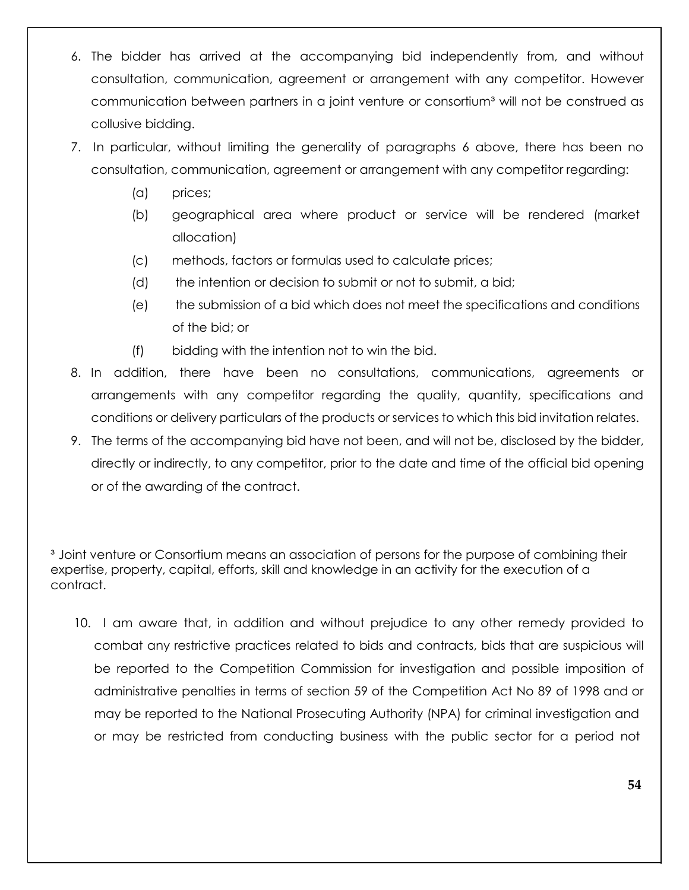- 6. The bidder has arrived at the accompanying bid independently from, and without consultation, communication, agreement or arrangement with any competitor. However communication between partners in a joint venture or consortium<sup>3</sup> will not be construed as collusive bidding.
- 7. In particular, without limiting the generality of paragraphs 6 above, there has been no consultation, communication, agreement or arrangement with any competitor regarding:
	- (a) prices;
	- (b) geographical area where product or service will be rendered (market allocation)
	- (c) methods, factors or formulas used to calculate prices;
	- (d) the intention or decision to submit or not to submit, a bid;
	- (e) the submission of a bid which does not meet the specifications and conditions of the bid; or
	- (f) bidding with the intention not to win the bid.
- 8. In addition, there have been no consultations, communications, agreements or arrangements with any competitor regarding the quality, quantity, specifications and conditions or delivery particulars of the products or services to which this bid invitation relates.
- 9. The terms of the accompanying bid have not been, and will not be, disclosed by the bidder, directly or indirectly, to any competitor, prior to the date and time of the official bid opening or of the awarding of the contract.

<sup>3</sup> Joint venture or Consortium means an association of persons for the purpose of combining their expertise, property, capital, efforts, skill and knowledge in an activity for the execution of a contract.

10. I am aware that, in addition and without prejudice to any other remedy provided to combat any restrictive practices related to bids and contracts, bids that are suspicious will be reported to the Competition Commission for investigation and possible imposition of administrative penalties in terms of section 59 of the Competition Act No 89 of 1998 and or may be reported to the National Prosecuting Authority (NPA) for criminal investigation and or may be restricted from conducting business with the public sector for a period not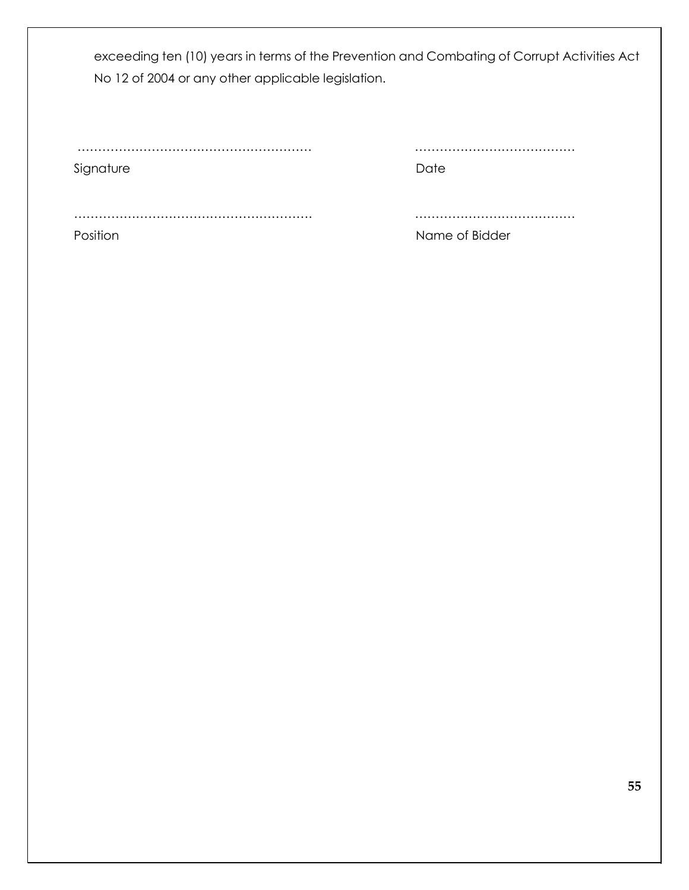exceeding ten (10) years in terms of the Prevention and Combating of Corrupt Activities Act No 12 of 2004 or any other applicable legislation.

Signature Date Date

………………………………………………… …………………………………

…………………………………………………. …………………………………

Position Name of Bidder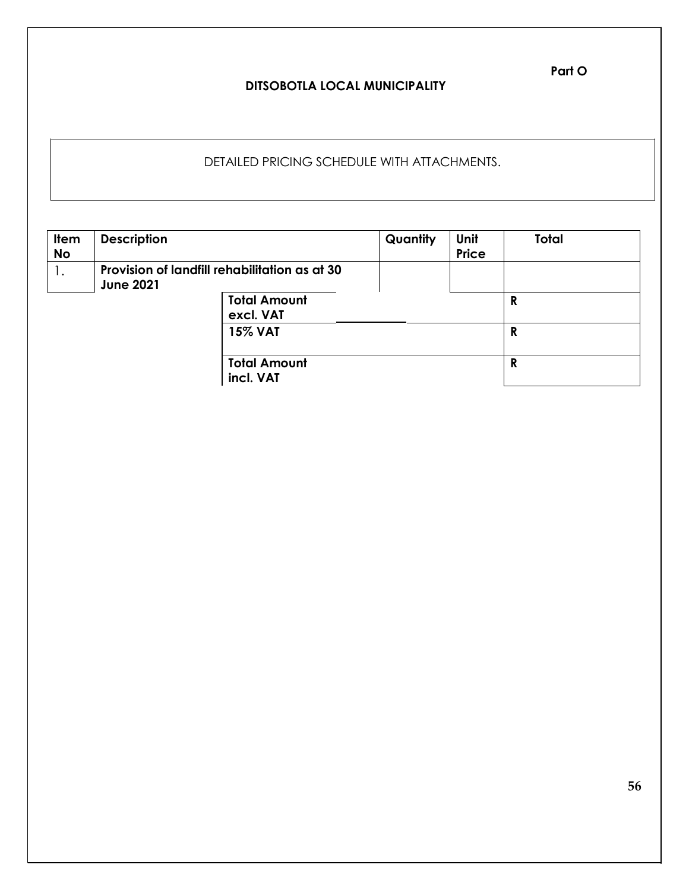## **DITSOBOTLA LOCAL MUNICIPALITY**

# DETAILED PRICING SCHEDULE WITH ATTACHMENTS.

| <b>Item</b><br><b>No</b> | <b>Description</b> |                                               | Quantity | Unit<br><b>Price</b> | <b>Total</b> |
|--------------------------|--------------------|-----------------------------------------------|----------|----------------------|--------------|
| 1.                       | <b>June 2021</b>   | Provision of landfill rehabilitation as at 30 |          |                      |              |
|                          |                    | <b>Total Amount</b><br>excl. VAT              |          |                      | R            |
|                          |                    | <b>15% VAT</b>                                |          |                      | R            |
|                          |                    | <b>Total Amount</b><br>incl. VAT              |          |                      | R            |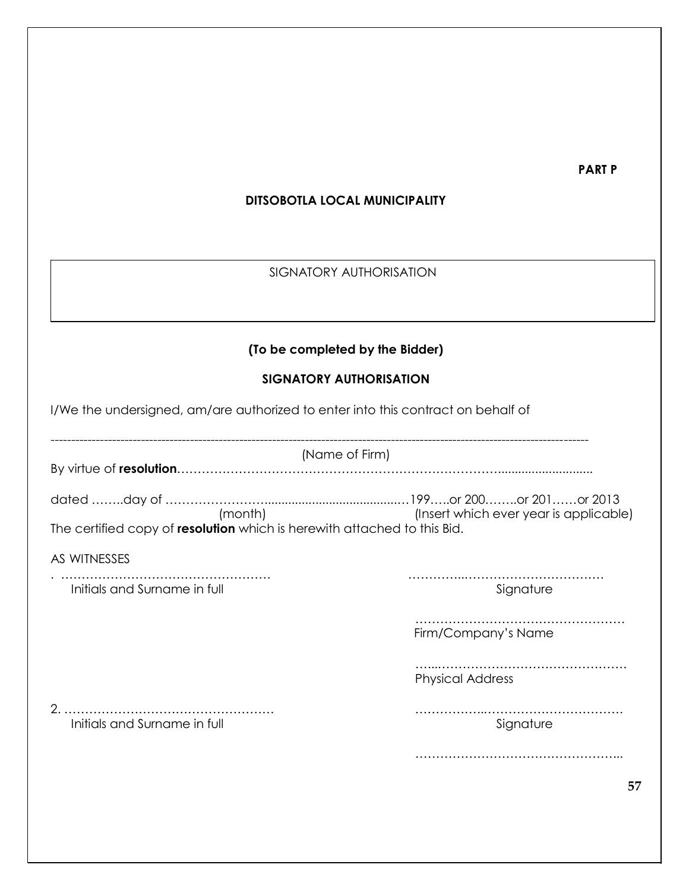**PART P**

## **DITSOBOTLA LOCAL MUNICIPALITY**

# SIGNATORY AUTHORISATION

# **(To be completed by the Bidder)**

# **SIGNATORY AUTHORISATION**

|                                                                          | (Name of Firm)          |
|--------------------------------------------------------------------------|-------------------------|
|                                                                          |                         |
|                                                                          |                         |
| The certified copy of resolution which is herewith attached to this Bid. |                         |
| AS WITNESSES                                                             |                         |
| Initials and Surname in full                                             | Signature               |
|                                                                          | Firm/Company's Name     |
|                                                                          | <b>Physical Address</b> |
| Initials and Surname in full                                             | Signature               |
|                                                                          |                         |
|                                                                          | 57                      |